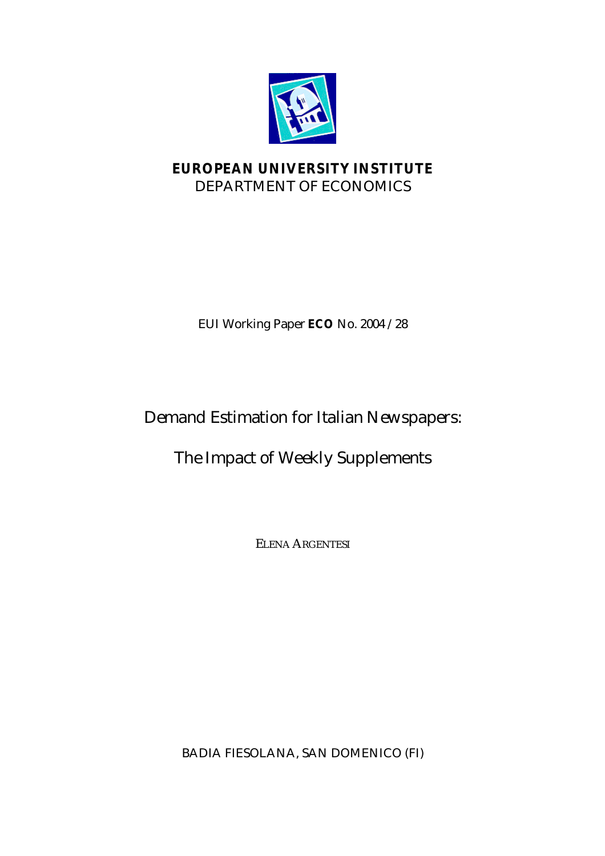

## **EUROPEAN UNIVERSITY INSTITUTE** DEPARTMENT OF ECONOMICS

EUI Working Paper **ECO** No. 2004 /28

# Demand Estimation for Italian Newspapers:

# The Impact of Weekly Supplements

ELENA ARGENTESI

BADIA FIESOLANA, SAN DOMENICO (FI)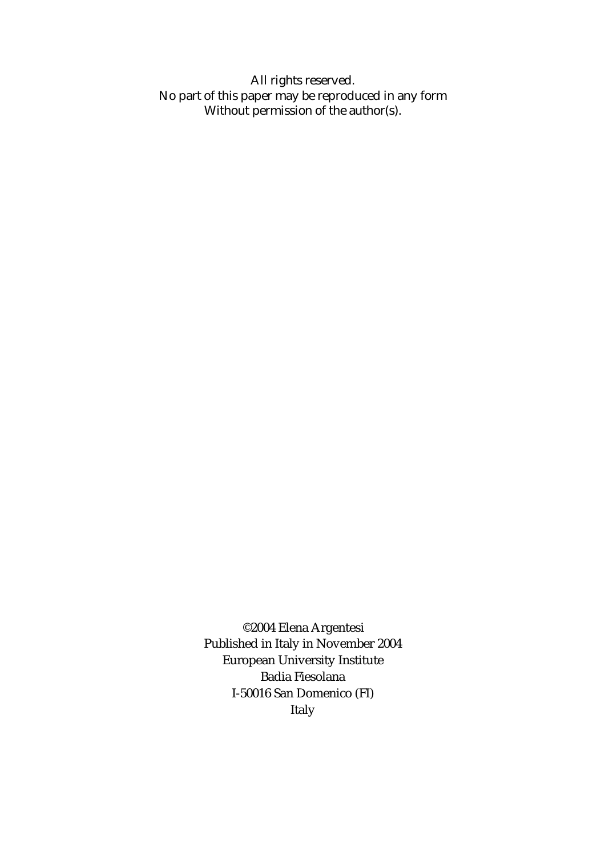All rights reserved. No part of this paper may be reproduced in any form Without permission of the author(s).

> ©2004 Elena Argentesi Published in Italy in November 2004 European University Institute Badia Fiesolana I-50016 San Domenico (FI) Italy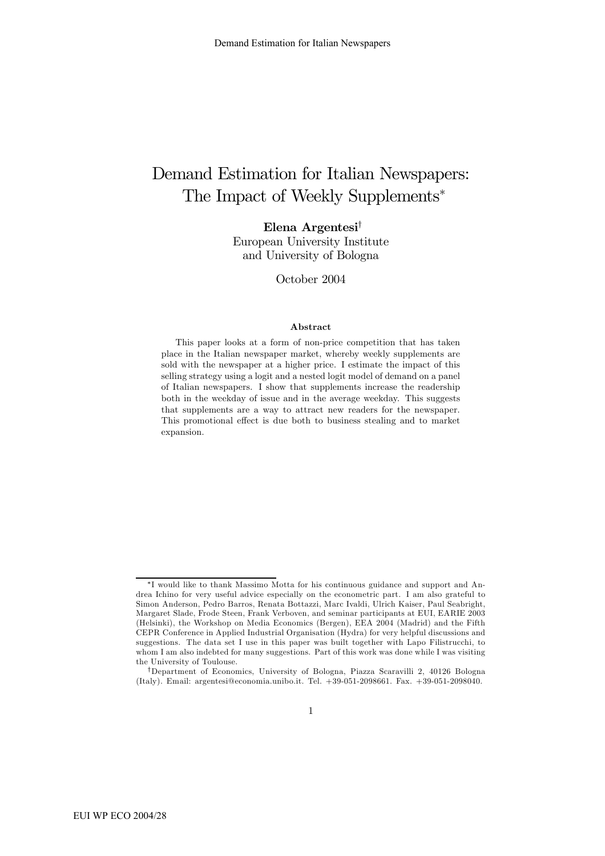## Demand Estimation for Italian Newspapers: The Impact of Weekly Supplements<sup>∗</sup>

Elena Argentesi†

European University Institute and University of Bologna

October 2004

#### Abstract

This paper looks at a form of non-price competition that has taken place in the Italian newspaper market, whereby weekly supplements are sold with the newspaper at a higher price. I estimate the impact of this selling strategy using a logit and a nested logit model of demand on a panel of Italian newspapers. I show that supplements increase the readership both in the weekday of issue and in the average weekday. This suggests that supplements are a way to attract new readers for the newspaper. This promotional effect is due both to business stealing and to market expansion.

<sup>∗</sup>I would like to thank Massimo Motta for his continuous guidance and support and Andrea Ichino for very useful advice especially on the econometric part. I am also grateful to Simon Anderson, Pedro Barros, Renata Bottazzi, Marc Ivaldi, Ulrich Kaiser, Paul Seabright, Margaret Slade, Frode Steen, Frank Verboven, and seminar participants at EUI, EARIE 2003 (Helsinki), the Workshop on Media Economics (Bergen), EEA 2004 (Madrid) and the Fifth CEPR Conference in Applied Industrial Organisation (Hydra) for very helpful discussions and suggestions. The data set I use in this paper was built together with Lapo Filistrucchi, to whom I am also indebted for many suggestions. Part of this work was done while I was visiting the University of Toulouse.

<sup>†</sup>Department of Economics, University of Bologna, Piazza Scaravilli 2, 40126 Bologna (Italy). Email: argentesi@economia.unibo.it. Tel. +39-051-2098661. Fax. +39-051-2098040.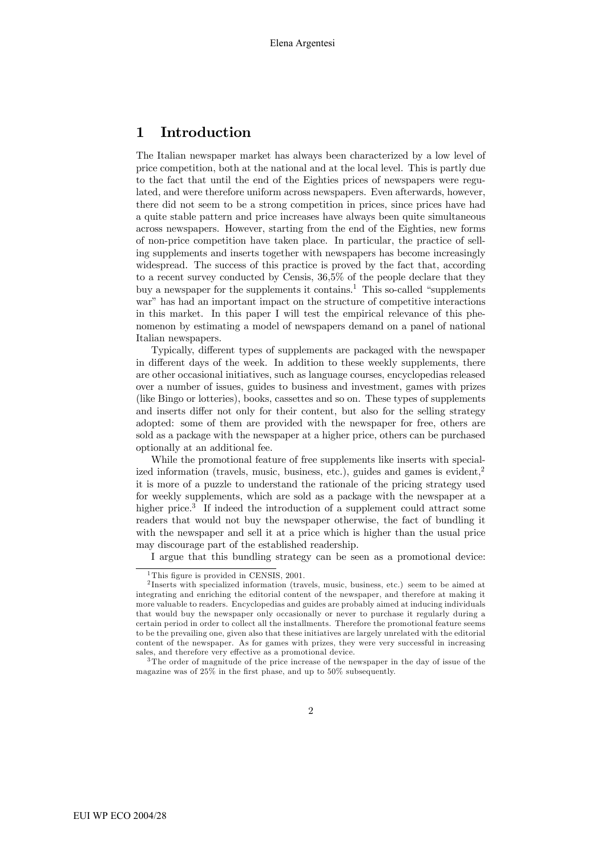### 1 Introduction

The Italian newspaper market has always been characterized by a low level of price competition, both at the national and at the local level. This is partly due to the fact that until the end of the Eighties prices of newspapers were regulated, and were therefore uniform across newspapers. Even afterwards, however, there did not seem to be a strong competition in prices, since prices have had a quite stable pattern and price increases have always been quite simultaneous across newspapers. However, starting from the end of the Eighties, new forms of non-price competition have taken place. In particular, the practice of selling supplements and inserts together with newspapers has become increasingly widespread. The success of this practice is proved by the fact that, according to a recent survey conducted by Censis, 36,5% of the people declare that they buy a newspaper for the supplements it contains.<sup>1</sup> This so-called "supplements" war" has had an important impact on the structure of competitive interactions in this market. In this paper I will test the empirical relevance of this phenomenon by estimating a model of newspapers demand on a panel of national Italian newspapers.

Typically, different types of supplements are packaged with the newspaper in different days of the week. In addition to these weekly supplements, there are other occasional initiatives, such as language courses, encyclopedias released over a number of issues, guides to business and investment, games with prizes (like Bingo or lotteries), books, cassettes and so on. These types of supplements and inserts differ not only for their content, but also for the selling strategy adopted: some of them are provided with the newspaper for free, others are sold as a package with the newspaper at a higher price, others can be purchased optionally at an additional fee.

While the promotional feature of free supplements like inserts with specialized information (travels, music, business, etc.), guides and games is evident, $2^2$ it is more of a puzzle to understand the rationale of the pricing strategy used for weekly supplements, which are sold as a package with the newspaper at a higher price.<sup>3</sup> If indeed the introduction of a supplement could attract some readers that would not buy the newspaper otherwise, the fact of bundling it with the newspaper and sell it at a price which is higher than the usual price may discourage part of the established readership.

I argue that this bundling strategy can be seen as a promotional device:

<sup>&</sup>lt;sup>1</sup>This figure is provided in CENSIS,  $2001$ .

<sup>2</sup> Inserts with specialized information (travels, music, business, etc.) seem to be aimed at integrating and enriching the editorial content of the newspaper, and therefore at making it more valuable to readers. Encyclopedias and guides are probably aimed at inducing individuals that would buy the newspaper only occasionally or never to purchase it regularly during a certain period in order to collect all the installments. Therefore the promotional feature seems to be the prevailing one, given also that these initiatives are largely unrelated with the editorial content of the newspaper. As for games with prizes, they were very successful in increasing sales, and therefore very effective as a promotional device.

<sup>3</sup>The order of magnitude of the price increase of the newspaper in the day of issue of the magazine was of 25% in the first phase, and up to 50% subsequently.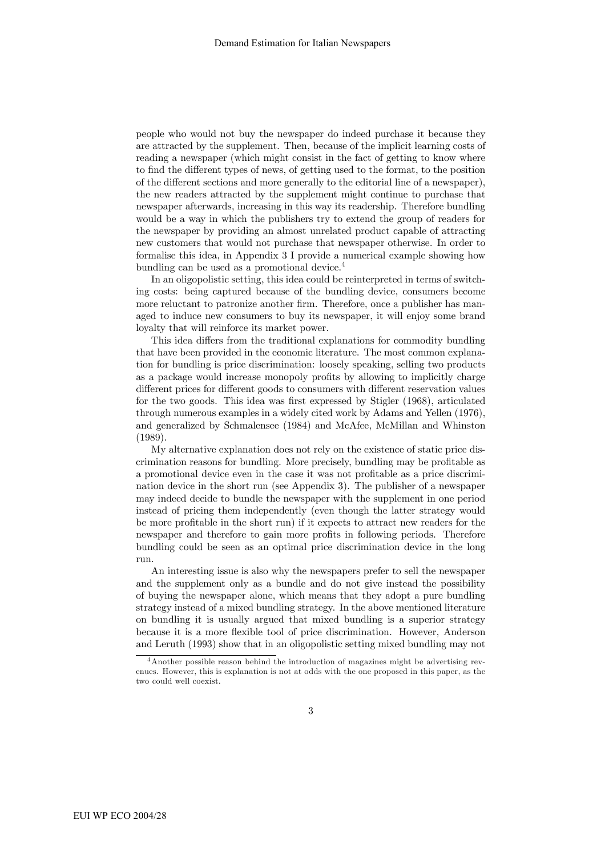people who would not buy the newspaper do indeed purchase it because they are attracted by the supplement. Then, because of the implicit learning costs of reading a newspaper (which might consist in the fact of getting to know where to find the different types of news, of getting used to the format, to the position of the different sections and more generally to the editorial line of a newspaper), the new readers attracted by the supplement might continue to purchase that newspaper afterwards, increasing in this way its readership. Therefore bundling would be a way in which the publishers try to extend the group of readers for the newspaper by providing an almost unrelated product capable of attracting new customers that would not purchase that newspaper otherwise. In order to formalise this idea, in Appendix 3 I provide a numerical example showing how bundling can be used as a promotional device.4

In an oligopolistic setting, this idea could be reinterpreted in terms of switching costs: being captured because of the bundling device, consumers become more reluctant to patronize another firm. Therefore, once a publisher has managed to induce new consumers to buy its newspaper, it will enjoy some brand loyalty that will reinforce its market power.

This idea differs from the traditional explanations for commodity bundling that have been provided in the economic literature. The most common explanation for bundling is price discrimination: loosely speaking, selling two products as a package would increase monopoly profits by allowing to implicitly charge different prices for different goods to consumers with different reservation values for the two goods. This idea was first expressed by Stigler (1968), articulated through numerous examples in a widely cited work by Adams and Yellen (1976), and generalized by Schmalensee (1984) and McAfee, McMillan and Whinston (1989).

My alternative explanation does not rely on the existence of static price discrimination reasons for bundling. More precisely, bundling may be profitable as a promotional device even in the case it was not profitable as a price discrimination device in the short run (see Appendix 3). The publisher of a newspaper may indeed decide to bundle the newspaper with the supplement in one period instead of pricing them independently (even though the latter strategy would be more profitable in the short run) if it expects to attract new readers for the newspaper and therefore to gain more profits in following periods. Therefore bundling could be seen as an optimal price discrimination device in the long run.

An interesting issue is also why the newspapers prefer to sell the newspaper and the supplement only as a bundle and do not give instead the possibility of buying the newspaper alone, which means that they adopt a pure bundling strategy instead of a mixed bundling strategy. In the above mentioned literature on bundling it is usually argued that mixed bundling is a superior strategy because it is a more flexible tool of price discrimination. However, Anderson and Leruth (1993) show that in an oligopolistic setting mixed bundling may not

<sup>&</sup>lt;sup>4</sup> Another possible reason behind the introduction of magazines might be advertising revenues. However, this is explanation is not at odds with the one proposed in this paper, as the two could well coexist.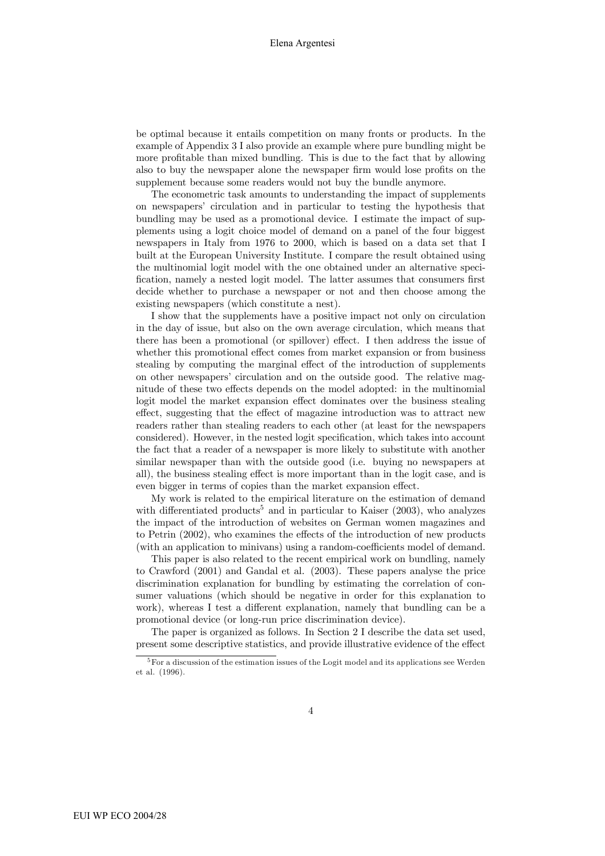be optimal because it entails competition on many fronts or products. In the example of Appendix 3 I also provide an example where pure bundling might be more profitable than mixed bundling. This is due to the fact that by allowing also to buy the newspaper alone the newspaper firm would lose profits on the supplement because some readers would not buy the bundle anymore.

The econometric task amounts to understanding the impact of supplements on newspapers' circulation and in particular to testing the hypothesis that bundling may be used as a promotional device. I estimate the impact of supplements using a logit choice model of demand on a panel of the four biggest newspapers in Italy from 1976 to 2000, which is based on a data set that I built at the European University Institute. I compare the result obtained using the multinomial logit model with the one obtained under an alternative specification, namely a nested logit model. The latter assumes that consumers first decide whether to purchase a newspaper or not and then choose among the existing newspapers (which constitute a nest).

I show that the supplements have a positive impact not only on circulation in the day of issue, but also on the own average circulation, which means that there has been a promotional (or spillover) effect. I then address the issue of whether this promotional effect comes from market expansion or from business stealing by computing the marginal effect of the introduction of supplements on other newspapers' circulation and on the outside good. The relative magnitude of these two effects depends on the model adopted: in the multinomial logit model the market expansion effect dominates over the business stealing effect, suggesting that the effect of magazine introduction was to attract new readers rather than stealing readers to each other (at least for the newspapers considered). However, in the nested logit specification, which takes into account the fact that a reader of a newspaper is more likely to substitute with another similar newspaper than with the outside good (i.e. buying no newspapers at all), the business stealing effect is more important than in the logit case, and is even bigger in terms of copies than the market expansion effect.

My work is related to the empirical literature on the estimation of demand with differentiated products<sup>5</sup> and in particular to Kaiser  $(2003)$ , who analyzes the impact of the introduction of websites on German women magazines and to Petrin (2002), who examines the effects of the introduction of new products (with an application to minivans) using a random-coefficients model of demand.

This paper is also related to the recent empirical work on bundling, namely to Crawford (2001) and Gandal et al. (2003). These papers analyse the price discrimination explanation for bundling by estimating the correlation of consumer valuations (which should be negative in order for this explanation to work), whereas I test a different explanation, namely that bundling can be a promotional device (or long-run price discrimination device).

The paper is organized as follows. In Section 2 I describe the data set used, present some descriptive statistics, and provide illustrative evidence of the effect

<sup>&</sup>lt;sup>5</sup>For a discussion of the estimation issues of the Logit model and its applications see Werden et al. (1996).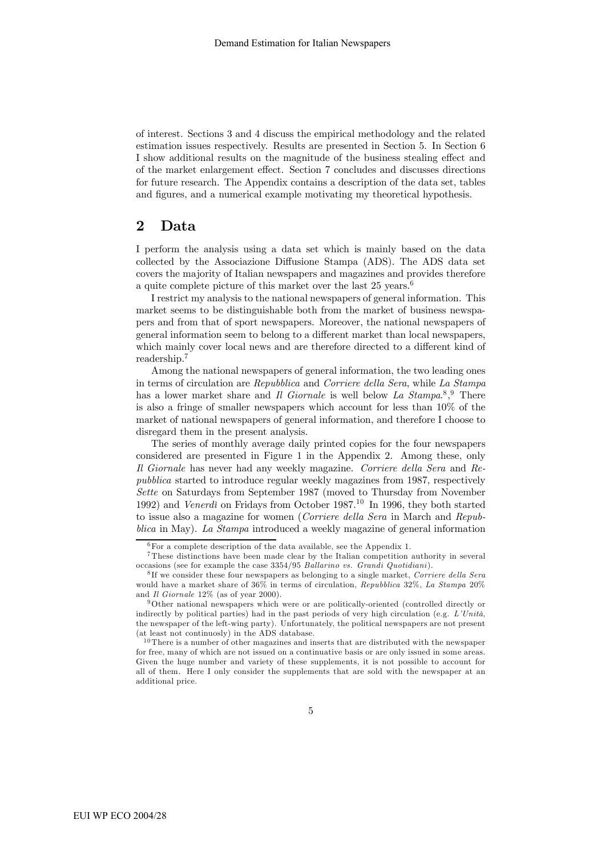of interest. Sections 3 and 4 discuss the empirical methodology and the related estimation issues respectively. Results are presented in Section 5. In Section 6 I show additional results on the magnitude of the business stealing effect and of the market enlargement effect. Section 7 concludes and discusses directions for future research. The Appendix contains a description of the data set, tables and figures, and a numerical example motivating my theoretical hypothesis.

#### 2 Data

I perform the analysis using a data set which is mainly based on the data collected by the Associazione Diffusione Stampa (ADS). The ADS data set covers the majority of Italian newspapers and magazines and provides therefore a quite complete picture of this market over the last  $25 \text{ years.}^6$ 

I restrict my analysis to the national newspapers of general information. This market seems to be distinguishable both from the market of business newspapers and from that of sport newspapers. Moreover, the national newspapers of general information seem to belong to a different market than local newspapers, which mainly cover local news and are therefore directed to a different kind of readership.7

Among the national newspapers of general information, the two leading ones in terms of circulation are Repubblica and Corriere della Sera, while La Stampa has a lower market share and  $\bar{I}l$  Giornale is well below La Stampa.<sup>8</sup>,<sup>9</sup> There is also a fringe of smaller newspapers which account for less than 10% of the market of national newspapers of general information, and therefore I choose to disregard them in the present analysis.

The series of monthly average daily printed copies for the four newspapers considered are presented in Figure 1 in the Appendix 2. Among these, only Il Giornale has never had any weekly magazine. Corriere della Sera and Repubblica started to introduce regular weekly magazines from 1987, respectively Sette on Saturdays from September 1987 (moved to Thursday from November 1992) and Venerdì on Fridays from October 1987.<sup>10</sup> In 1996, they both started to issue also a magazine for women (Corriere della Sera in March and Repubblica in May). La Stampa introduced a weekly magazine of general information

 $6$ For a complete description of the data available, see the Appendix 1.

<sup>7</sup>These distinctions have been made clear by the Italian competition authority in several occasions (see for example the case 3354/95 Ballarino vs. Grandi Quotidiani).

<sup>&</sup>lt;sup>8</sup>If we consider these four newspapers as belonging to a single market, Corriere della Sera would have a market share of 36% in terms of circulation, Repubblica 32%, La Stampa 20% and Il Giornale 12% (as of year 2000).

<sup>9</sup>Other national newspapers which were or are politically-oriented (controlled directly or indirectly by political parties) had in the past periods of very high circulation (e.g.  $L'Unit\dot{a}$ , the newspaper of the left-wing party). Unfortunately, the political newspapers are not present (at least not continuosly) in the ADS database.

 $10$ There is a number of other magazines and inserts that are distributed with the newspaper for free, many of which are not issued on a continuative basis or are only issued in some areas. Given the huge number and variety of these supplements, it is not possible to account for all of them. Here I only consider the supplements that are sold with the newspaper at an additional price.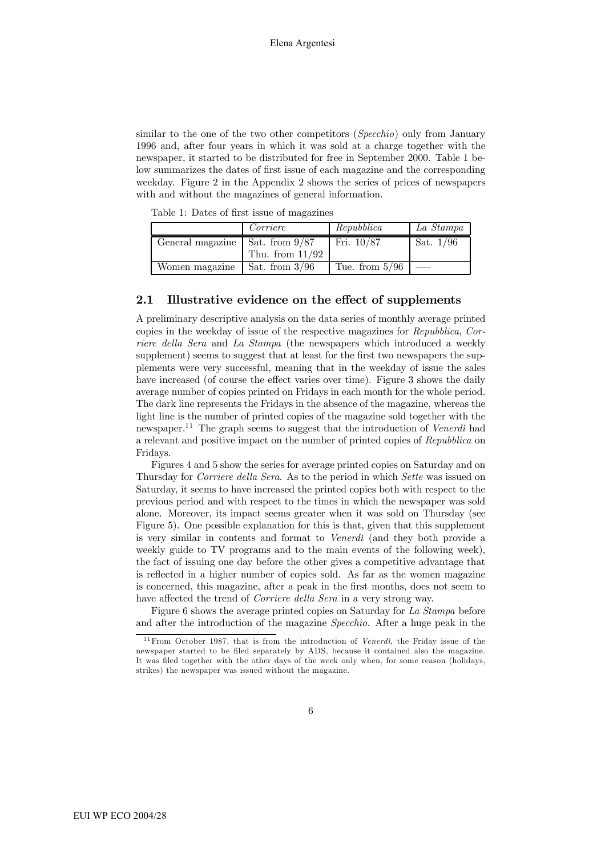similar to the one of the two other competitors (*Specchio*) only from January 1996 and, after four years in which it was sold at a charge together with the newspaper, it started to be distributed for free in September 2000. Table 1 below summarizes the dates of first issue of each magazine and the corresponding weekday. Figure 2 in the Appendix 2 shows the series of prices of newspapers with and without the magazines of general information.

|                                         | Corriere          | Repubblica       | La Stampa   |
|-----------------------------------------|-------------------|------------------|-------------|
| General magazine $\vert$ Sat. from 9/87 |                   | Fri. $10/87$     | Sat. $1/96$ |
|                                         | Thu. from $11/92$ |                  |             |
| Women magazine                          | Sat. from $3/96$  | Tue. from $5/96$ |             |

Table 1: Dates of first issue of magazines

#### 2.1 Illustrative evidence on the effect of supplements

A preliminary descriptive analysis on the data series of monthly average printed copies in the weekday of issue of the respective magazines for Repubblica, Corriere della Sera and La Stampa (the newspapers which introduced a weekly supplement) seems to suggest that at least for the first two newspapers the supplements were very successful, meaning that in the weekday of issue the sales have increased (of course the effect varies over time). Figure 3 shows the daily average number of copies printed on Fridays in each month for the whole period. The dark line represents the Fridays in the absence of the magazine, whereas the light line is the number of printed copies of the magazine sold together with the newspaper.<sup>11</sup> The graph seems to suggest that the introduction of *Venerdì* had a relevant and positive impact on the number of printed copies of Repubblica on Fridays.

Figures 4 and 5 show the series for average printed copies on Saturday and on Thursday for Corriere della Sera. As to the period in which Sette was issued on Saturday, it seems to have increased the printed copies both with respect to the previous period and with respect to the times in which the newspaper was sold alone. Moreover, its impact seems greater when it was sold on Thursday (see Figure 5). One possible explanation for this is that, given that this supplement is very similar in contents and format to Venerdì (and they both provide a weekly guide to TV programs and to the main events of the following week), the fact of issuing one day before the other gives a competitive advantage that is reflected in a higher number of copies sold. As far as the women magazine is concerned, this magazine, after a peak in the first months, does not seem to have affected the trend of Corriere della Sera in a very strong way.

Figure 6 shows the average printed copies on Saturday for La Stampa before and after the introduction of the magazine Specchio. After a huge peak in the

 $11$  From October 1987, that is from the introduction of *Venerdi*, the Friday issue of the newspaper started to be filed separately by ADS, because it contained also the magazine. It was filed together with the other days of the week only when, for some reason (holidays, strikes) the newspaper was issued without the magazine.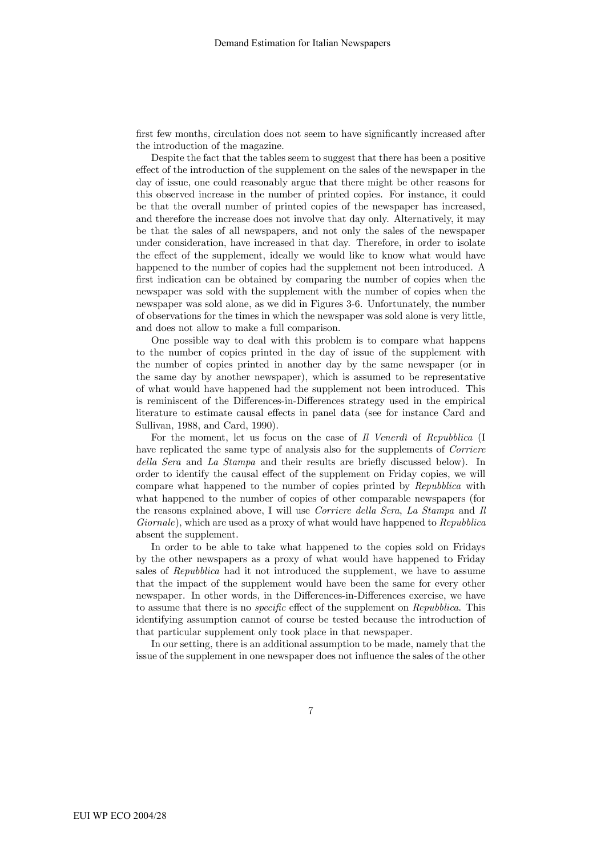first few months, circulation does not seem to have significantly increased after the introduction of the magazine.

Despite the fact that the tables seem to suggest that there has been a positive effect of the introduction of the supplement on the sales of the newspaper in the day of issue, one could reasonably argue that there might be other reasons for this observed increase in the number of printed copies. For instance, it could be that the overall number of printed copies of the newspaper has increased, and therefore the increase does not involve that day only. Alternatively, it may be that the sales of all newspapers, and not only the sales of the newspaper under consideration, have increased in that day. Therefore, in order to isolate the effect of the supplement, ideally we would like to know what would have happened to the number of copies had the supplement not been introduced. A first indication can be obtained by comparing the number of copies when the newspaper was sold with the supplement with the number of copies when the newspaper was sold alone, as we did in Figures 3-6. Unfortunately, the number of observations for the times in which the newspaper was sold alone is very little, and does not allow to make a full comparison.

One possible way to deal with this problem is to compare what happens to the number of copies printed in the day of issue of the supplement with the number of copies printed in another day by the same newspaper (or in the same day by another newspaper), which is assumed to be representative of what would have happened had the supplement not been introduced. This is reminiscent of the Differences-in-Differences strategy used in the empirical literature to estimate causal effects in panel data (see for instance Card and Sullivan, 1988, and Card, 1990).

For the moment, let us focus on the case of Il Venerdì of Repubblica (I have replicated the same type of analysis also for the supplements of *Corriere* della Sera and La Stampa and their results are briefly discussed below). In order to identify the causal effect of the supplement on Friday copies, we will compare what happened to the number of copies printed by Repubblica with what happened to the number of copies of other comparable newspapers (for the reasons explained above, I will use Corriere della Sera, La Stampa and Il Giornale), which are used as a proxy of what would have happened to Repubblica absent the supplement.

In order to be able to take what happened to the copies sold on Fridays by the other newspapers as a proxy of what would have happened to Friday sales of Repubblica had it not introduced the supplement, we have to assume that the impact of the supplement would have been the same for every other newspaper. In other words, in the Differences-in-Differences exercise, we have to assume that there is no specific effect of the supplement on Repubblica. This identifying assumption cannot of course be tested because the introduction of that particular supplement only took place in that newspaper.

In our setting, there is an additional assumption to be made, namely that the issue of the supplement in one newspaper does not influence the sales of the other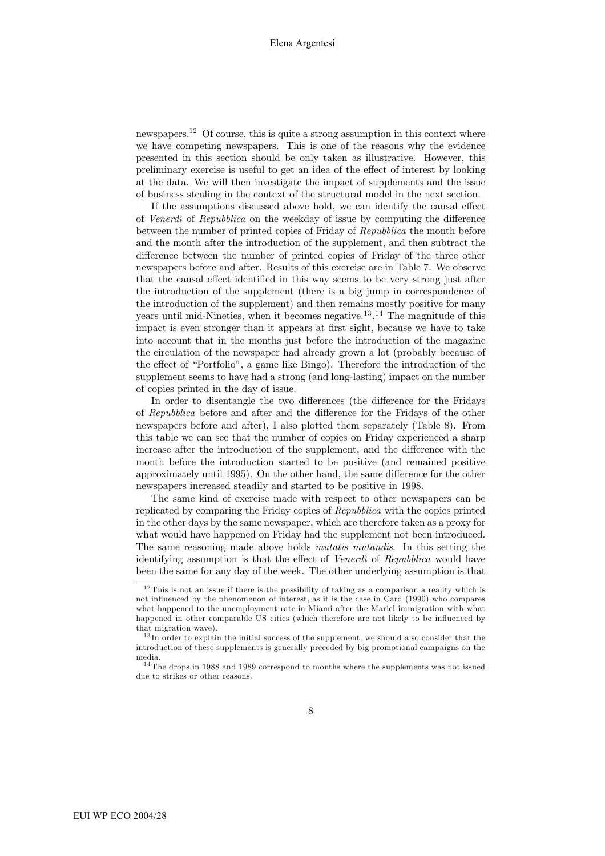newspapers.12 Of course, this is quite a strong assumption in this context where we have competing newspapers. This is one of the reasons why the evidence presented in this section should be only taken as illustrative. However, this preliminary exercise is useful to get an idea of the effect of interest by looking at the data. We will then investigate the impact of supplements and the issue of business stealing in the context of the structural model in the next section.

If the assumptions discussed above hold, we can identify the causal effect of Venerdì of Repubblica on the weekday of issue by computing the difference between the number of printed copies of Friday of Repubblica the month before and the month after the introduction of the supplement, and then subtract the difference between the number of printed copies of Friday of the three other newspapers before and after. Results of this exercise are in Table 7. We observe that the causal effect identified in this way seems to be very strong just after the introduction of the supplement (there is a big jump in correspondence of the introduction of the supplement) and then remains mostly positive for many years until mid-Nineties, when it becomes negative.<sup>13</sup>,<sup>14</sup> The magnitude of this impact is even stronger than it appears at first sight, because we have to take into account that in the months just before the introduction of the magazine the circulation of the newspaper had already grown a lot (probably because of the effect of "Portfolio", a game like Bingo). Therefore the introduction of the supplement seems to have had a strong (and long-lasting) impact on the number of copies printed in the day of issue.

In order to disentangle the two differences (the difference for the Fridays of Repubblica before and after and the difference for the Fridays of the other newspapers before and after), I also plotted them separately (Table 8). From this table we can see that the number of copies on Friday experienced a sharp increase after the introduction of the supplement, and the difference with the month before the introduction started to be positive (and remained positive approximately until 1995). On the other hand, the same difference for the other newspapers increased steadily and started to be positive in 1998.

The same kind of exercise made with respect to other newspapers can be replicated by comparing the Friday copies of Repubblica with the copies printed in the other days by the same newspaper, which are therefore taken as a proxy for what would have happened on Friday had the supplement not been introduced. The same reasoning made above holds *mutatis mutandis*. In this setting the identifying assumption is that the effect of Venerdì of Repubblica would have been the same for any day of the week. The other underlying assumption is that

 $12$  This is not an issue if there is the possibility of taking as a comparison a reality which is not influenced by the phenomenon of interest, as it is the case in Card (1990) who compares what happened to the unemployment rate in Miami after the Mariel immigration with what happened in other comparable US cities (which therefore are not likely to be influenced by that migration wave).

<sup>&</sup>lt;sup>13</sup> In order to explain the initial success of the supplement, we should also consider that the introduction of these supplements is generally preceded by big promotional campaigns on the media.

 $^{14}\mathrm{The}$  drops in 1988 and 1989 correspond to months where the supplements was not issued due to strikes or other reasons.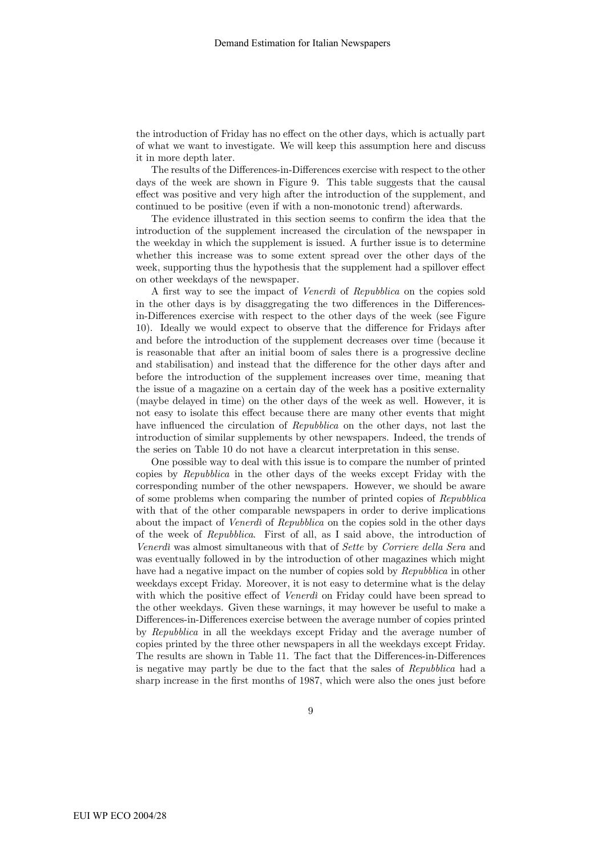the introduction of Friday has no effect on the other days, which is actually part of what we want to investigate. We will keep this assumption here and discuss it in more depth later.

The results of the Differences-in-Differences exercise with respect to the other days of the week are shown in Figure 9. This table suggests that the causal effect was positive and very high after the introduction of the supplement, and continued to be positive (even if with a non-monotonic trend) afterwards.

The evidence illustrated in this section seems to confirm the idea that the introduction of the supplement increased the circulation of the newspaper in the weekday in which the supplement is issued. A further issue is to determine whether this increase was to some extent spread over the other days of the week, supporting thus the hypothesis that the supplement had a spillover effect on other weekdays of the newspaper.

A first way to see the impact of Venerdì of Repubblica on the copies sold in the other days is by disaggregating the two differences in the Differencesin-Differences exercise with respect to the other days of the week (see Figure 10). Ideally we would expect to observe that the difference for Fridays after and before the introduction of the supplement decreases over time (because it is reasonable that after an initial boom of sales there is a progressive decline and stabilisation) and instead that the difference for the other days after and before the introduction of the supplement increases over time, meaning that the issue of a magazine on a certain day of the week has a positive externality (maybe delayed in time) on the other days of the week as well. However, it is not easy to isolate this effect because there are many other events that might have influenced the circulation of Repubblica on the other days, not last the introduction of similar supplements by other newspapers. Indeed, the trends of the series on Table 10 do not have a clearcut interpretation in this sense.

One possible way to deal with this issue is to compare the number of printed copies by Repubblica in the other days of the weeks except Friday with the corresponding number of the other newspapers. However, we should be aware of some problems when comparing the number of printed copies of Repubblica with that of the other comparable newspapers in order to derive implications about the impact of Venerdì of Repubblica on the copies sold in the other days of the week of Repubblica. First of all, as I said above, the introduction of Venerdì was almost simultaneous with that of Sette by Corriere della Sera and was eventually followed in by the introduction of other magazines which might have had a negative impact on the number of copies sold by Repubblica in other weekdays except Friday. Moreover, it is not easy to determine what is the delay with which the positive effect of *Venerdi* on Friday could have been spread to the other weekdays. Given these warnings, it may however be useful to make a Differences-in-Differences exercise between the average number of copies printed by Repubblica in all the weekdays except Friday and the average number of copies printed by the three other newspapers in all the weekdays except Friday. The results are shown in Table 11. The fact that the Differences-in-Differences is negative may partly be due to the fact that the sales of Repubblica had a sharp increase in the first months of 1987, which were also the ones just before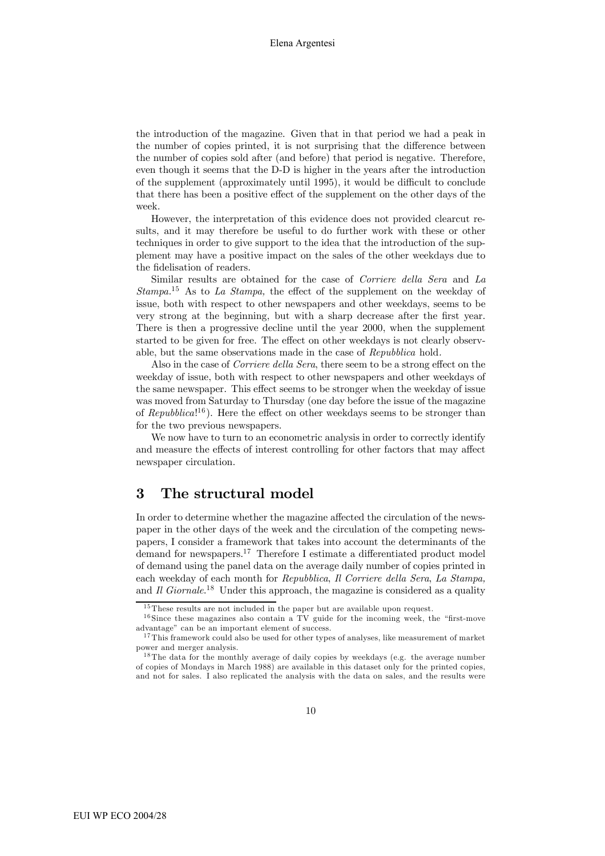the introduction of the magazine. Given that in that period we had a peak in the number of copies printed, it is not surprising that the difference between the number of copies sold after (and before) that period is negative. Therefore, even though it seems that the D-D is higher in the years after the introduction of the supplement (approximately until 1995), it would be difficult to conclude that there has been a positive effect of the supplement on the other days of the week.

However, the interpretation of this evidence does not provided clearcut results, and it may therefore be useful to do further work with these or other techniques in order to give support to the idea that the introduction of the supplement may have a positive impact on the sales of the other weekdays due to the fidelisation of readers.

Similar results are obtained for the case of *Corriere della Sera* and La  $Stampa.<sup>15</sup>$  As to La Stampa, the effect of the supplement on the weekday of issue, both with respect to other newspapers and other weekdays, seems to be very strong at the beginning, but with a sharp decrease after the first year. There is then a progressive decline until the year 2000, when the supplement started to be given for free. The effect on other weekdays is not clearly observable, but the same observations made in the case of Repubblica hold.

Also in the case of Corriere della Sera, there seem to be a strong effect on the weekday of issue, both with respect to other newspapers and other weekdays of the same newspaper. This effect seems to be stronger when the weekday of issue was moved from Saturday to Thursday (one day before the issue of the magazine of Repubblica!<sup>16</sup>). Here the effect on other weekdays seems to be stronger than for the two previous newspapers.

We now have to turn to an econometric analysis in order to correctly identify and measure the effects of interest controlling for other factors that may affect newspaper circulation.

#### 3 The structural model

In order to determine whether the magazine affected the circulation of the newspaper in the other days of the week and the circulation of the competing newspapers, I consider a framework that takes into account the determinants of the demand for newspapers.17 Therefore I estimate a differentiated product model of demand using the panel data on the average daily number of copies printed in each weekday of each month for Repubblica, Il Corriere della Sera, La Stampa, and  $\bar{I}l$  Giornale.<sup>18</sup> Under this approach, the magazine is considered as a quality

 $15$ These results are not included in the paper but are available upon request.

 $16$  Since these magazines also contain a TV guide for the incoming week, the "first-move advantage" can be an important element of success.

<sup>&</sup>lt;sup>17</sup>This framework could also be used for other types of analyses, like measurement of market power and merger analysis.

<sup>&</sup>lt;sup>18</sup>The data for the monthly average of daily copies by weekdays (e.g. the average number of copies of Mondays in March 1988) are available in this dataset only for the printed copies, and not for sales. I also replicated the analysis with the data on sales, and the results were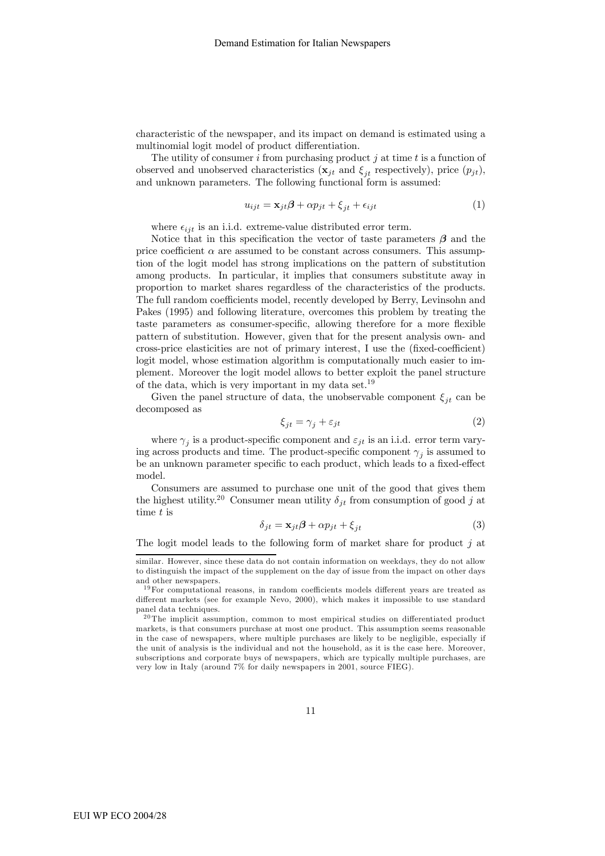characteristic of the newspaper, and its impact on demand is estimated using a multinomial logit model of product differentiation.

The utility of consumer i from purchasing product j at time  $t$  is a function of observed and unobserved characteristics ( $\mathbf{x}_{jt}$  and  $\xi_{it}$  respectively), price  $(p_{jt})$ , and unknown parameters. The following functional form is assumed:

$$
u_{ijt} = \mathbf{x}_{jt}\boldsymbol{\beta} + \alpha p_{jt} + \xi_{jt} + \epsilon_{ijt}
$$
 (1)

where  $\epsilon_{ijt}$  is an i.i.d. extreme-value distributed error term.

Notice that in this specification the vector of taste parameters  $\beta$  and the price coefficient  $\alpha$  are assumed to be constant across consumers. This assumption of the logit model has strong implications on the pattern of substitution among products. In particular, it implies that consumers substitute away in proportion to market shares regardless of the characteristics of the products. The full random coefficients model, recently developed by Berry, Levinsohn and Pakes (1995) and following literature, overcomes this problem by treating the taste parameters as consumer-specific, allowing therefore for a more flexible pattern of substitution. However, given that for the present analysis own- and cross-price elasticities are not of primary interest, I use the (fixed-coefficient) logit model, whose estimation algorithm is computationally much easier to implement. Moreover the logit model allows to better exploit the panel structure of the data, which is very important in my data set.19

Given the panel structure of data, the unobservable component  $\xi_{it}$  can be decomposed as

$$
\xi_{jt} = \gamma_j + \varepsilon_{jt} \tag{2}
$$

where  $\gamma_i$  is a product-specific component and  $\varepsilon_{it}$  is an i.i.d. error term varying across products and time. The product-specific component  $\gamma_i$  is assumed to be an unknown parameter specific to each product, which leads to a fixed-effect model.

Consumers are assumed to purchase one unit of the good that gives them the highest utility.<sup>20</sup> Consumer mean utility  $\delta_{jt}$  from consumption of good j at time t is

$$
\delta_{jt} = \mathbf{x}_{jt}\boldsymbol{\beta} + \alpha p_{jt} + \xi_{jt} \tag{3}
$$

The logit model leads to the following form of market share for product  $j$  at

similar. However, since these data do not contain information on weekdays, they do not allow to distinguish the impact of the supplement on the day of issue from the impact on other days and other newspapers.

<sup>&</sup>lt;sup>19</sup>For computational reasons, in random coefficients models different years are treated as different markets (see for example Nevo, 2000), which makes it impossible to use standard panel data techniques.

 $^{20}$ The implicit assumption, common to most empirical studies on differentiated product markets, is that consumers purchase at most one product. This assumption seems reasonable in the case of newspapers, where multiple purchases are likely to be negligible, especially if the unit of analysis is the individual and not the household, as it is the case here. Moreover, subscriptions and corporate buys of newspapers, which are typically multiple purchases, are very low in Italy (around 7% for daily newspapers in 2001, source FIEG).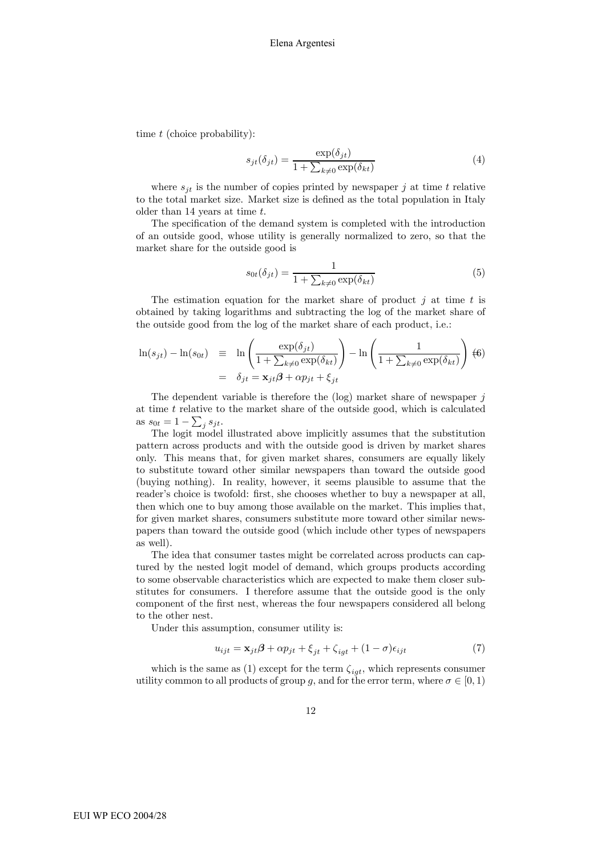time t (choice probability):

$$
s_{jt}(\delta_{jt}) = \frac{\exp(\delta_{jt})}{1 + \sum_{k \neq 0} \exp(\delta_{kt})}
$$
(4)

where  $s_{it}$  is the number of copies printed by newspaper j at time t relative to the total market size. Market size is defined as the total population in Italy older than 14 years at time t.

The specification of the demand system is completed with the introduction of an outside good, whose utility is generally normalized to zero, so that the market share for the outside good is

$$
s_{0t}(\delta_{jt}) = \frac{1}{1 + \sum_{k \neq 0} \exp(\delta_{kt})}
$$
(5)

The estimation equation for the market share of product  $j$  at time  $t$  is obtained by taking logarithms and subtracting the log of the market share of the outside good from the log of the market share of each product, i.e.:

$$
\ln(s_{jt}) - \ln(s_{0t}) \equiv \ln\left(\frac{\exp(\delta_{jt})}{1 + \sum_{k\neq 0} \exp(\delta_{kt})}\right) - \ln\left(\frac{1}{1 + \sum_{k\neq 0} \exp(\delta_{kt})}\right) \tag{6}
$$

$$
= \delta_{jt} = \mathbf{x}_{jt}\boldsymbol{\beta} + \alpha p_{jt} + \xi_{jt}
$$

The dependent variable is therefore the  $(\log)$  market share of newspaper j at time  $t$  relative to the market share of the outside good, which is calculated as  $s_{0t} = 1 - \sum_j s_{jt}$ .

The logit model illustrated above implicitly assumes that the substitution pattern across products and with the outside good is driven by market shares only. This means that, for given market shares, consumers are equally likely to substitute toward other similar newspapers than toward the outside good (buying nothing). In reality, however, it seems plausible to assume that the reader's choice is twofold: first, she chooses whether to buy a newspaper at all, then which one to buy among those available on the market. This implies that, for given market shares, consumers substitute more toward other similar newspapers than toward the outside good (which include other types of newspapers as well).

The idea that consumer tastes might be correlated across products can captured by the nested logit model of demand, which groups products according to some observable characteristics which are expected to make them closer substitutes for consumers. I therefore assume that the outside good is the only component of the first nest, whereas the four newspapers considered all belong to the other nest.

Under this assumption, consumer utility is:

$$
u_{ijt} = \mathbf{x}_{jt}\boldsymbol{\beta} + \alpha p_{jt} + \xi_{jt} + \zeta_{igt} + (1 - \sigma)\epsilon_{ijt}
$$
\n<sup>(7)</sup>

which is the same as (1) except for the term  $\zeta_{igt}$ , which represents consumer utility common to all products of group g, and for the error term, where  $\sigma \in [0,1)$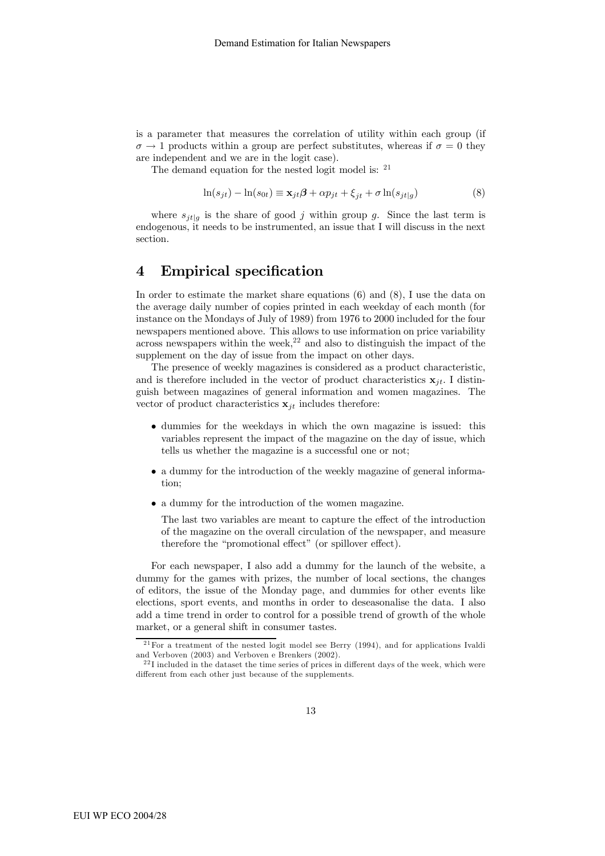is a parameter that measures the correlation of utility within each group (if  $\sigma \to 1$  products within a group are perfect substitutes, whereas if  $\sigma = 0$  they are independent and we are in the logit case).

The demand equation for the nested logit model is: <sup>21</sup>

$$
\ln(s_{jt}) - \ln(s_{0t}) \equiv \mathbf{x}_{jt}\boldsymbol{\beta} + \alpha p_{jt} + \xi_{jt} + \sigma \ln(s_{jt|g})
$$
\n(8)

where  $s_{jt|g}$  is the share of good j within group g. Since the last term is endogenous, it needs to be instrumented, an issue that I will discuss in the next section.

#### 4 Empirical specification

In order to estimate the market share equations (6) and (8), I use the data on the average daily number of copies printed in each weekday of each month (for instance on the Mondays of July of 1989) from 1976 to 2000 included for the four newspapers mentioned above. This allows to use information on price variability across newspapers within the week,  $22$  and also to distinguish the impact of the supplement on the day of issue from the impact on other days.

The presence of weekly magazines is considered as a product characteristic, and is therefore included in the vector of product characteristics  $x_{it}$ . I distinguish between magazines of general information and women magazines. The vector of product characteristics  $x_{it}$  includes therefore:

- dummies for the weekdays in which the own magazine is issued: this variables represent the impact of the magazine on the day of issue, which tells us whether the magazine is a successful one or not;
- a dummy for the introduction of the weekly magazine of general information;
- a dummy for the introduction of the women magazine.

The last two variables are meant to capture the effect of the introduction of the magazine on the overall circulation of the newspaper, and measure therefore the "promotional effect" (or spillover effect).

For each newspaper, I also add a dummy for the launch of the website, a dummy for the games with prizes, the number of local sections, the changes of editors, the issue of the Monday page, and dummies for other events like elections, sport events, and months in order to deseasonalise the data. I also add a time trend in order to control for a possible trend of growth of the whole market, or a general shift in consumer tastes.

 $21$  For a treatment of the nested logit model see Berry (1994), and for applications Ivaldi and Verboven (2003) and Verboven e Brenkers (2002).

 $^{22}$ I included in the dataset the time series of prices in different days of the week, which were different from each other just because of the supplements.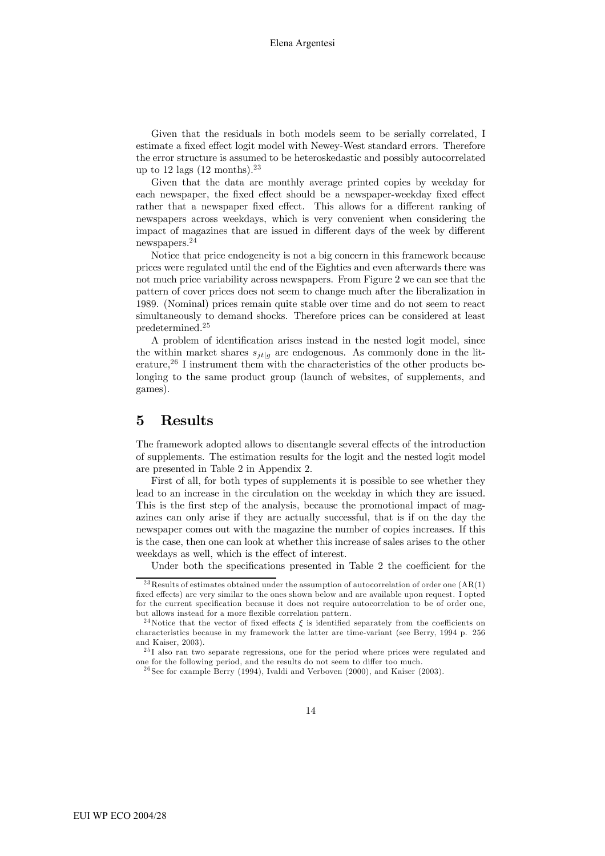Given that the residuals in both models seem to be serially correlated, I estimate a fixed effect logit model with Newey-West standard errors. Therefore the error structure is assumed to be heteroskedastic and possibly autocorrelated up to 12 lags  $(12 \text{ months})$ .<sup>23</sup>

Given that the data are monthly average printed copies by weekday for each newspaper, the fixed effect should be a newspaper-weekday fixed effect rather that a newspaper fixed effect. This allows for a different ranking of newspapers across weekdays, which is very convenient when considering the impact of magazines that are issued in different days of the week by different newspapers.24

Notice that price endogeneity is not a big concern in this framework because prices were regulated until the end of the Eighties and even afterwards there was not much price variability across newspapers. From Figure 2 we can see that the pattern of cover prices does not seem to change much after the liberalization in 1989. (Nominal) prices remain quite stable over time and do not seem to react simultaneously to demand shocks. Therefore prices can be considered at least predetermined.25

A problem of identification arises instead in the nested logit model, since the within market shares  $s_{it|g}$  are endogenous. As commonly done in the literature,<sup>26</sup> I instrument them with the characteristics of the other products belonging to the same product group (launch of websites, of supplements, and games).

#### 5 Results

The framework adopted allows to disentangle several effects of the introduction of supplements. The estimation results for the logit and the nested logit model are presented in Table 2 in Appendix 2.

First of all, for both types of supplements it is possible to see whether they lead to an increase in the circulation on the weekday in which they are issued. This is the first step of the analysis, because the promotional impact of magazines can only arise if they are actually successful, that is if on the day the newspaper comes out with the magazine the number of copies increases. If this is the case, then one can look at whether this increase of sales arises to the other weekdays as well, which is the effect of interest.

Under both the specifications presented in Table 2 the coefficient for the

 $^{23}$ Results of estimates obtained under the assumption of autocorrelation of order one  $(AR(1))$ fixed effects) are very similar to the ones shown below and are available upon request. I opted for the current specification because it does not require autocorrelation to be of order one, but allows instead for a more flexible correlation pattern.

<sup>&</sup>lt;sup>24</sup>Notice that the vector of fixed effects  $\xi$  is identified separately from the coefficients on characteristics because in my framework the latter are time-variant (see Berry, 1994 p. 256 and Kaiser, 2003).

<sup>&</sup>lt;sup>25</sup>I also ran two separate regressions, one for the period where prices were regulated and one for the following period, and the results do not seem to differ too much.

 $26$  See for example Berry (1994), Ivaldi and Verboven (2000), and Kaiser (2003).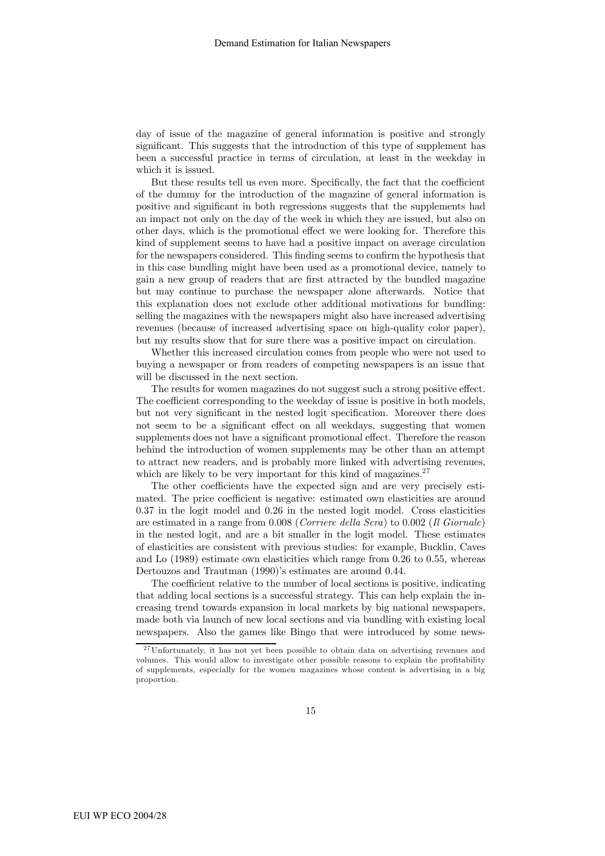day of issue of the magazine of general information is positive and strongly significant. This suggests that the introduction of this type of supplement has been a successful practice in terms of circulation, at least in the weekday in which it is issued.

But these results tell us even more. Specifically, the fact that the coefficient of the dummy for the introduction of the magazine of general information is positive and significant in both regressions suggests that the supplements had an impact not only on the day of the week in which they are issued, but also on other days, which is the promotional effect we were looking for. Therefore this kind of supplement seems to have had a positive impact on average circulation for the newspapers considered. This finding seems to confirm the hypothesis that in this case bundling might have been used as a promotional device, namely to gain a new group of readers that are first attracted by the bundled magazine but may continue to purchase the newspaper alone afterwards. Notice that this explanation does not exclude other additional motivations for bundling: selling the magazines with the newspapers might also have increased advertising revenues (because of increased advertising space on high-quality color paper), but my results show that for sure there was a positive impact on circulation.

Whether this increased circulation comes from people who were not used to buying a newspaper or from readers of competing newspapers is an issue that will be discussed in the next section.

The results for women magazines do not suggest such a strong positive effect. The coefficient corresponding to the weekday of issue is positive in both models, but not very significant in the nested logit specification. Moreover there does not seem to be a significant effect on all weekdays, suggesting that women supplements does not have a significant promotional effect. Therefore the reason behind the introduction of women supplements may be other than an attempt to attract new readers, and is probably more linked with advertising revenues, which are likely to be very important for this kind of magazines.<sup>27</sup>

The other coefficients have the expected sign and are very precisely estimated. The price coefficient is negative: estimated own elasticities are around 0.37 in the logit model and 0.26 in the nested logit model. Cross elasticities are estimated in a range from 0.008 (Corriere della Sera) to 0.002 (Il Giornale) in the nested logit, and are a bit smaller in the logit model. These estimates of elasticities are consistent with previous studies: for example, Bucklin, Caves and Lo (1989) estimate own elasticities which range from 0.26 to 0.55, whereas Dertouzos and Trautman (1990)'s estimates are around 0.44.

The coefficient relative to the number of local sections is positive, indicating that adding local sections is a successful strategy. This can help explain the increasing trend towards expansion in local markets by big national newspapers, made both via launch of new local sections and via bundling with existing local newspapers. Also the games like Bingo that were introduced by some news-

 $27$ Unfortunately, it has not yet been possible to obtain data on advertising revenues and volumes. This would allow to investigate other possible reasons to explain the profitability of supplements, especially for the women magazines whose content is advertising in a big proportion.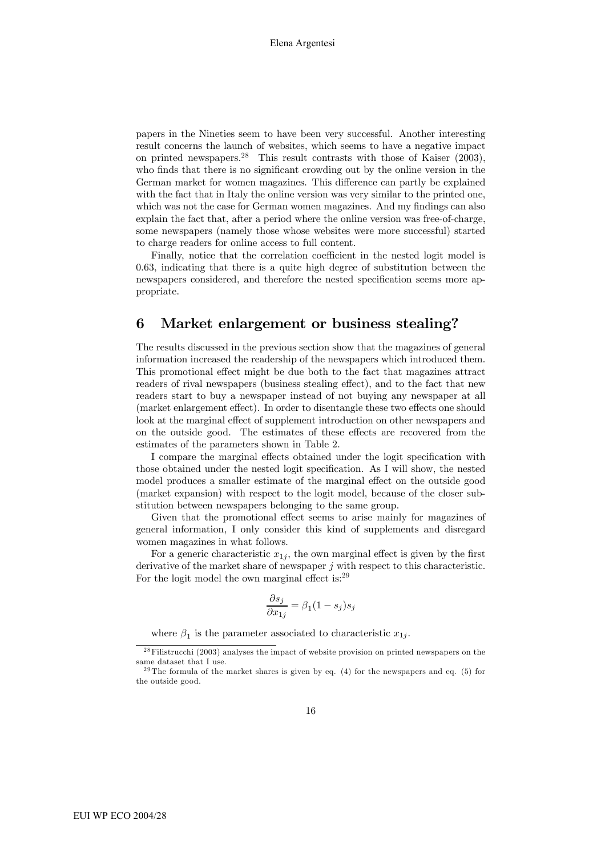papers in the Nineties seem to have been very successful. Another interesting result concerns the launch of websites, which seems to have a negative impact on printed newspapers.<sup>28</sup> This result contrasts with those of Kaiser  $(2003)$ , who finds that there is no significant crowding out by the online version in the German market for women magazines. This difference can partly be explained with the fact that in Italy the online version was very similar to the printed one, which was not the case for German women magazines. And my findings can also explain the fact that, after a period where the online version was free-of-charge, some newspapers (namely those whose websites were more successful) started to charge readers for online access to full content.

Finally, notice that the correlation coefficient in the nested logit model is 0.63, indicating that there is a quite high degree of substitution between the newspapers considered, and therefore the nested specification seems more appropriate.

#### 6 Market enlargement or business stealing?

The results discussed in the previous section show that the magazines of general information increased the readership of the newspapers which introduced them. This promotional effect might be due both to the fact that magazines attract readers of rival newspapers (business stealing effect), and to the fact that new readers start to buy a newspaper instead of not buying any newspaper at all (market enlargement effect). In order to disentangle these two effects one should look at the marginal effect of supplement introduction on other newspapers and on the outside good. The estimates of these effects are recovered from the estimates of the parameters shown in Table 2.

I compare the marginal effects obtained under the logit specification with those obtained under the nested logit specification. As I will show, the nested model produces a smaller estimate of the marginal effect on the outside good (market expansion) with respect to the logit model, because of the closer substitution between newspapers belonging to the same group.

Given that the promotional effect seems to arise mainly for magazines of general information, I only consider this kind of supplements and disregard women magazines in what follows.

For a generic characteristic  $x_{1j}$ , the own marginal effect is given by the first derivative of the market share of newspaper j with respect to this characteristic. For the logit model the own marginal effect is:<sup>29</sup>

$$
\frac{\partial s_j}{\partial x_{1j}} = \beta_1 (1 - s_j) s_j
$$

where  $\beta_1$  is the parameter associated to characteristic  $x_{1i}$ .

 $28$ Filistrucchi (2003) analyses the impact of website provision on printed newspapers on the same dataset that I use.

 $29$ The formula of the market shares is given by eq. (4) for the newspapers and eq. (5) for the outside good.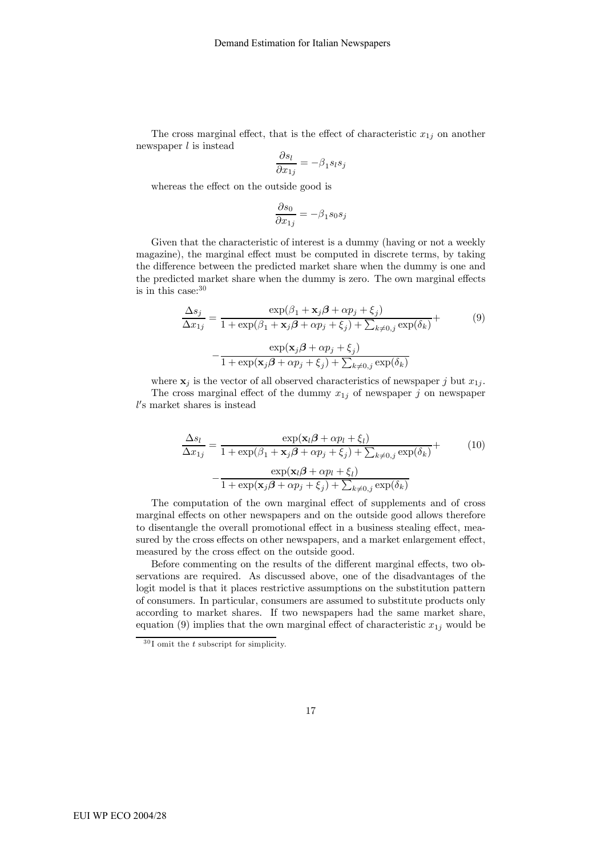The cross marginal effect, that is the effect of characteristic  $x_{1j}$  on another newspaper  $l$  is instead

$$
\frac{\partial s_l}{\partial x_{1j}}=-\beta_1s_ls_j
$$

whereas the effect on the outside good is

$$
\frac{\partial s_0}{\partial x_{1j}} = -\beta_1 s_0 s_j
$$

Given that the characteristic of interest is a dummy (having or not a weekly magazine), the marginal effect must be computed in discrete terms, by taking the difference between the predicted market share when the dummy is one and the predicted market share when the dummy is zero. The own marginal effects is in this case: $30$ 

$$
\frac{\Delta s_j}{\Delta x_{1j}} = \frac{\exp(\beta_1 + \mathbf{x}_j \boldsymbol{\beta} + \alpha p_j + \xi_j)}{1 + \exp(\beta_1 + \mathbf{x}_j \boldsymbol{\beta} + \alpha p_j + \xi_j) + \sum_{k \neq 0, j} \exp(\delta_k)} + \frac{\exp(\mathbf{x}_j \boldsymbol{\beta} + \alpha p_j + \xi_j)}{1 + \exp(\mathbf{x}_j \boldsymbol{\beta} + \alpha p_j + \xi_j) + \sum_{k \neq 0, j} \exp(\delta_k)}
$$
\n(9)

where  $x_j$  is the vector of all observed characteristics of newspaper j but  $x_{1j}$ . The cross marginal effect of the dummy  $x_{1j}$  of newspaper j on newspaper l 0 s market shares is instead

$$
\frac{\Delta s_l}{\Delta x_{1j}} = \frac{\exp(\mathbf{x}_l \boldsymbol{\beta} + \alpha p_l + \xi_l)}{1 + \exp(\beta_1 + \mathbf{x}_j \boldsymbol{\beta} + \alpha p_j + \xi_j) + \sum_{k \neq 0, j} \exp(\delta_k)} + \frac{\exp(\mathbf{x}_l \boldsymbol{\beta} + \alpha p_j + \xi_j)}{1 + \exp(\mathbf{x}_j \boldsymbol{\beta} + \alpha p_j + \xi_j) + \sum_{k \neq 0, j} \exp(\delta_k)}
$$
(10)

The computation of the own marginal effect of supplements and of cross marginal effects on other newspapers and on the outside good allows therefore to disentangle the overall promotional effect in a business stealing effect, measured by the cross effects on other newspapers, and a market enlargement effect, measured by the cross effect on the outside good.

Before commenting on the results of the different marginal effects, two observations are required. As discussed above, one of the disadvantages of the logit model is that it places restrictive assumptions on the substitution pattern of consumers. In particular, consumers are assumed to substitute products only according to market shares. If two newspapers had the same market share, equation (9) implies that the own marginal effect of characteristic  $x_{1j}$  would be

 $30$ I omit the t subscript for simplicity.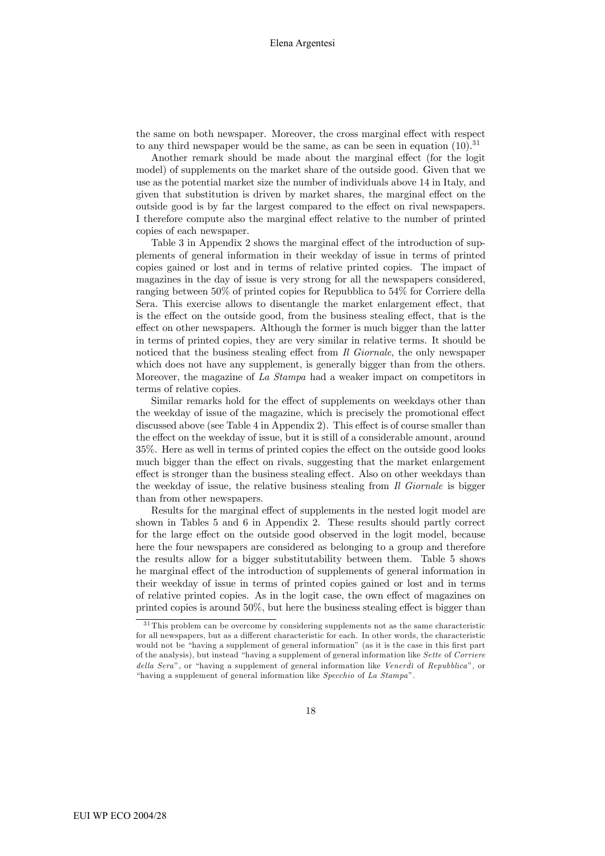the same on both newspaper. Moreover, the cross marginal effect with respect to any third newspaper would be the same, as can be seen in equation  $(10).^{31}$ 

Another remark should be made about the marginal effect (for the logit model) of supplements on the market share of the outside good. Given that we use as the potential market size the number of individuals above 14 in Italy, and given that substitution is driven by market shares, the marginal effect on the outside good is by far the largest compared to the effect on rival newspapers. I therefore compute also the marginal effect relative to the number of printed copies of each newspaper.

Table 3 in Appendix 2 shows the marginal effect of the introduction of supplements of general information in their weekday of issue in terms of printed copies gained or lost and in terms of relative printed copies. The impact of magazines in the day of issue is very strong for all the newspapers considered, ranging between 50% of printed copies for Repubblica to 54% for Corriere della Sera. This exercise allows to disentangle the market enlargement effect, that is the effect on the outside good, from the business stealing effect, that is the effect on other newspapers. Although the former is much bigger than the latter in terms of printed copies, they are very similar in relative terms. It should be noticed that the business stealing effect from  $\bar{I}l$  Giornale, the only newspaper which does not have any supplement, is generally bigger than from the others. Moreover, the magazine of La Stampa had a weaker impact on competitors in terms of relative copies.

Similar remarks hold for the effect of supplements on weekdays other than the weekday of issue of the magazine, which is precisely the promotional effect discussed above (see Table 4 in Appendix 2). This effect is of course smaller than the effect on the weekday of issue, but it is still of a considerable amount, around 35%. Here as well in terms of printed copies the effect on the outside good looks much bigger than the effect on rivals, suggesting that the market enlargement effect is stronger than the business stealing effect. Also on other weekdays than the weekday of issue, the relative business stealing from  $\bar{I}$  Giornale is bigger than from other newspapers.

Results for the marginal effect of supplements in the nested logit model are shown in Tables 5 and 6 in Appendix 2. These results should partly correct for the large effect on the outside good observed in the logit model, because here the four newspapers are considered as belonging to a group and therefore the results allow for a bigger substitutability between them. Table 5 shows he marginal effect of the introduction of supplements of general information in their weekday of issue in terms of printed copies gained or lost and in terms of relative printed copies. As in the logit case, the own effect of magazines on printed copies is around 50%, but here the business stealing effect is bigger than

 $31$ This problem can be overcome by considering supplements not as the same characteristic for all newspapers, but as a different characteristic for each. In other words, the characteristic would not be "having a supplement of general information" (as it is the case in this first part of the analysis), but instead "having a supplement of general information like Sette of Corriere della Sera", or "having a supplement of general information like Venerdì of Repubblica", or "having a supplement of general information like Specchio of La Stampa".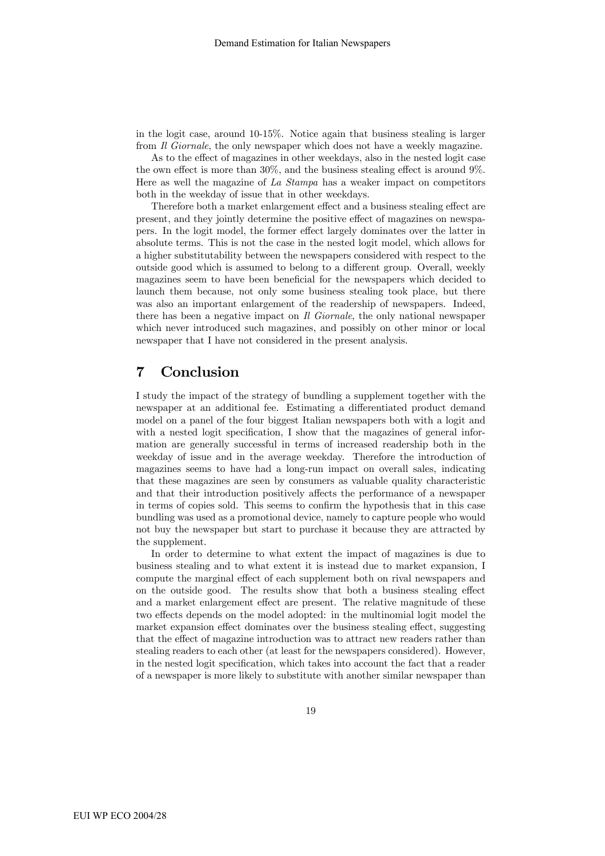in the logit case, around 10-15%. Notice again that business stealing is larger from *Il Giornale*, the only newspaper which does not have a weekly magazine.

As to the effect of magazines in other weekdays, also in the nested logit case the own effect is more than 30%, and the business stealing effect is around 9%. Here as well the magazine of La Stampa has a weaker impact on competitors both in the weekday of issue that in other weekdays.

Therefore both a market enlargement effect and a business stealing effect are present, and they jointly determine the positive effect of magazines on newspapers. In the logit model, the former effect largely dominates over the latter in absolute terms. This is not the case in the nested logit model, which allows for a higher substitutability between the newspapers considered with respect to the outside good which is assumed to belong to a different group. Overall, weekly magazines seem to have been beneficial for the newspapers which decided to launch them because, not only some business stealing took place, but there was also an important enlargement of the readership of newspapers. Indeed, there has been a negative impact on Il Giornale, the only national newspaper which never introduced such magazines, and possibly on other minor or local newspaper that I have not considered in the present analysis.

### 7 Conclusion

I study the impact of the strategy of bundling a supplement together with the newspaper at an additional fee. Estimating a differentiated product demand model on a panel of the four biggest Italian newspapers both with a logit and with a nested logit specification, I show that the magazines of general information are generally successful in terms of increased readership both in the weekday of issue and in the average weekday. Therefore the introduction of magazines seems to have had a long-run impact on overall sales, indicating that these magazines are seen by consumers as valuable quality characteristic and that their introduction positively affects the performance of a newspaper in terms of copies sold. This seems to confirm the hypothesis that in this case bundling was used as a promotional device, namely to capture people who would not buy the newspaper but start to purchase it because they are attracted by the supplement.

In order to determine to what extent the impact of magazines is due to business stealing and to what extent it is instead due to market expansion, I compute the marginal effect of each supplement both on rival newspapers and on the outside good. The results show that both a business stealing effect and a market enlargement effect are present. The relative magnitude of these two effects depends on the model adopted: in the multinomial logit model the market expansion effect dominates over the business stealing effect, suggesting that the effect of magazine introduction was to attract new readers rather than stealing readers to each other (at least for the newspapers considered). However, in the nested logit specification, which takes into account the fact that a reader of a newspaper is more likely to substitute with another similar newspaper than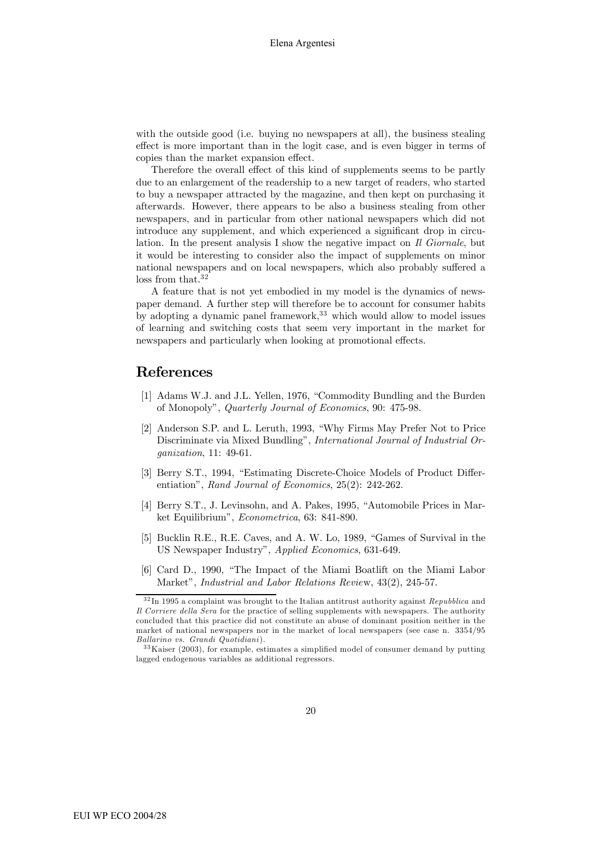with the outside good (i.e. buying no newspapers at all), the business stealing effect is more important than in the logit case, and is even bigger in terms of copies than the market expansion effect.

Therefore the overall effect of this kind of supplements seems to be partly due to an enlargement of the readership to a new target of readers, who started to buy a newspaper attracted by the magazine, and then kept on purchasing it afterwards. However, there appears to be also a business stealing from other newspapers, and in particular from other national newspapers which did not introduce any supplement, and which experienced a significant drop in circulation. In the present analysis I show the negative impact on Il Giornale, but it would be interesting to consider also the impact of supplements on minor national newspapers and on local newspapers, which also probably suffered a loss from that.<sup>32</sup>

A feature that is not yet embodied in my model is the dynamics of newspaper demand. A further step will therefore be to account for consumer habits by adopting a dynamic panel framework,  $33$  which would allow to model issues of learning and switching costs that seem very important in the market for newspapers and particularly when looking at promotional effects.

### References

- [1] Adams W.J. and J.L. Yellen, 1976, "Commodity Bundling and the Burden of Monopoly", Quarterly Journal of Economics, 90: 475-98.
- [2] Anderson S.P. and L. Leruth, 1993, "Why Firms May Prefer Not to Price Discriminate via Mixed Bundling", International Journal of Industrial Organization, 11: 49-61.
- [3] Berry S.T., 1994, "Estimating Discrete-Choice Models of Product Differentiation", Rand Journal of Economics, 25(2): 242-262.
- [4] Berry S.T., J. Levinsohn, and A. Pakes, 1995, "Automobile Prices in Market Equilibrium", Econometrica, 63: 841-890.
- [5] Bucklin R.E., R.E. Caves, and A. W. Lo, 1989, "Games of Survival in the US Newspaper Industry", Applied Economics, 631-649.
- [6] Card D., 1990, "The Impact of the Miami Boatlift on the Miami Labor Market", Industrial and Labor Relations Review, 43(2), 245-57.

 $32 \text{ In } 1995$  a complaint was brought to the Italian antitrust authority against  $\emph{Republica}$  and Il Corriere della Sera for the practice of selling supplements with newspapers. The authority concluded that this practice did not constitute an abuse of dominant position neither in the market of national newspapers nor in the market of local newspapers (see case n. 3354/95 Ballarino vs. Grandi Quotidiani).

<sup>3 3</sup>Kaiser (2003), for example, estimates a simplified model of consumer demand by putting lagged endogenous variables as additional regressors.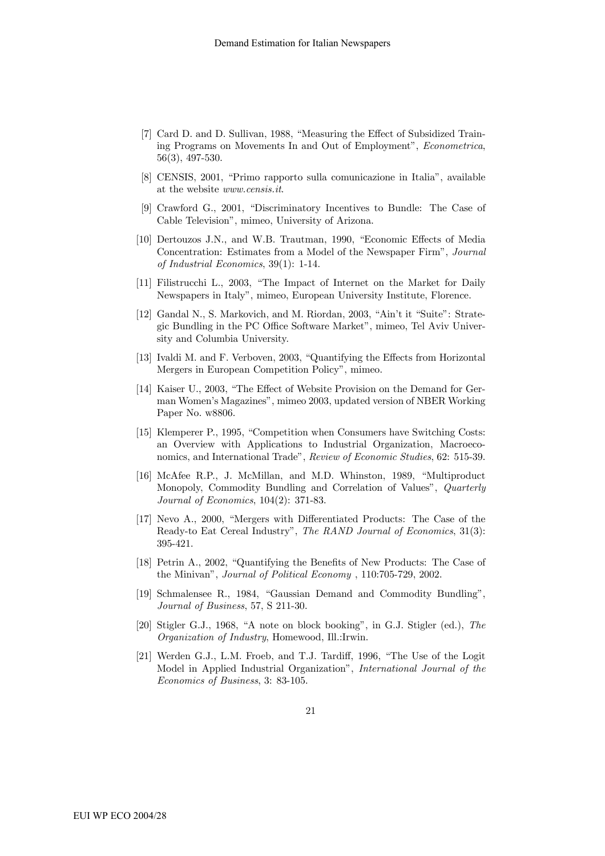- [7] Card D. and D. Sullivan, 1988, "Measuring the Effect of Subsidized Training Programs on Movements In and Out of Employment", Econometrica, 56(3), 497-530.
- [8] CENSIS, 2001, "Primo rapporto sulla comunicazione in Italia", available at the website www.censis.it.
- [9] Crawford G., 2001, "Discriminatory Incentives to Bundle: The Case of Cable Television", mimeo, University of Arizona.
- [10] Dertouzos J.N., and W.B. Trautman, 1990, "Economic Effects of Media Concentration: Estimates from a Model of the Newspaper Firm", Journal of Industrial Economics, 39(1): 1-14.
- [11] Filistrucchi L., 2003, "The Impact of Internet on the Market for Daily Newspapers in Italy", mimeo, European University Institute, Florence.
- [12] Gandal N., S. Markovich, and M. Riordan, 2003, "Ain't it "Suite": Strategic Bundling in the PC Office Software Market", mimeo, Tel Aviv University and Columbia University.
- [13] Ivaldi M. and F. Verboven, 2003, "Quantifying the Effects from Horizontal Mergers in European Competition Policy", mimeo.
- [14] Kaiser U., 2003, "The Effect of Website Provision on the Demand for German Women's Magazines", mimeo 2003, updated version of NBER Working Paper No. w8806.
- [15] Klemperer P., 1995, "Competition when Consumers have Switching Costs: an Overview with Applications to Industrial Organization, Macroeconomics, and International Trade", Review of Economic Studies, 62: 515-39.
- [16] McAfee R.P., J. McMillan, and M.D. Whinston, 1989, "Multiproduct Monopoly, Commodity Bundling and Correlation of Values", Quarterly Journal of Economics, 104(2): 371-83.
- [17] Nevo A., 2000, "Mergers with Differentiated Products: The Case of the Ready-to Eat Cereal Industry", The RAND Journal of Economics, 31(3): 395-421.
- [18] Petrin A., 2002, "Quantifying the Benefits of New Products: The Case of the Minivan", Journal of Political Economy , 110:705-729, 2002.
- [19] Schmalensee R., 1984, "Gaussian Demand and Commodity Bundling", Journal of Business, 57, S 211-30.
- [20] Stigler G.J., 1968, "A note on block booking", in G.J. Stigler (ed.), The Organization of Industry, Homewood, Ill.:Irwin.
- [21] Werden G.J., L.M. Froeb, and T.J. Tardiff, 1996, "The Use of the Logit Model in Applied Industrial Organization", International Journal of the Economics of Business, 3: 83-105.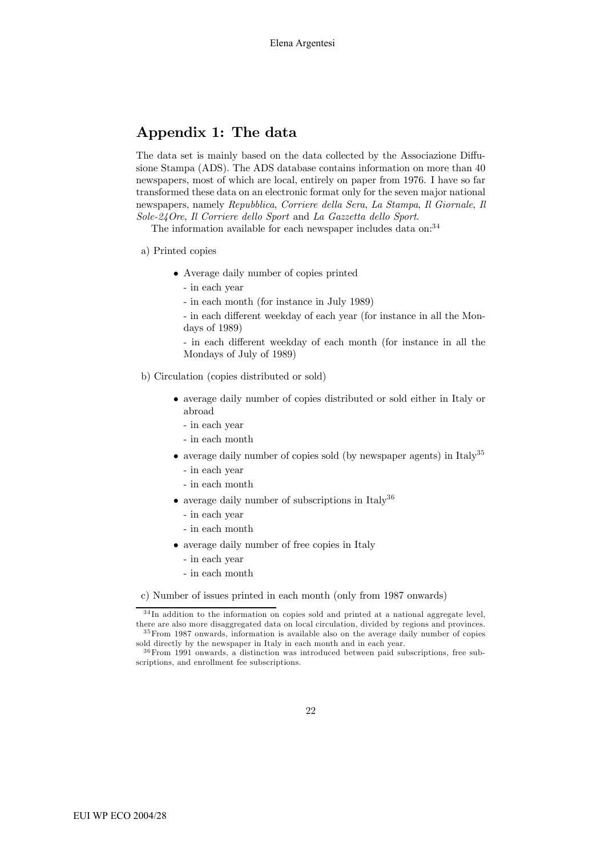## Appendix 1: The data

The data set is mainly based on the data collected by the Associazione Diffusione Stampa (ADS). The ADS database contains information on more than 40 newspapers, most of which are local, entirely on paper from 1976. I have so far transformed these data on an electronic format only for the seven major national newspapers, namely Repubblica, Corriere della Sera, La Stampa, Il Giornale, Il Sole-24Ore, Il Corriere dello Sport and La Gazzetta dello Sport.

The information available for each newspaper includes data on:<sup>34</sup>

#### a) Printed copies

- Average daily number of copies printed
	- in each year
	- in each month (for instance in July 1989)
	- in each different weekday of each year (for instance in all the Mondays of 1989)
	- in each different weekday of each month (for instance in all the Mondays of July of 1989)
- b) Circulation (copies distributed or sold)
	- average daily number of copies distributed or sold either in Italy or abroad
		- in each year
		- in each month
	- average daily number of copies sold (by newspaper agents) in Italy<sup>35</sup>
		- in each year
		- in each month
	- average daily number of subscriptions in Italy<sup>36</sup>
		- in each year
		- in each month
	- average daily number of free copies in Italy
		- in each year
		- in each month

c) Number of issues printed in each month (only from 1987 onwards)

<sup>&</sup>lt;sup>34</sup>In addition to the information on copies sold and printed at a national aggregate level, there are also more disaggregated data on local circulation, divided by regions and provinces. 3 5From 1987 onwards, information is available also on the average daily number of copies

sold directly by the newspaper in Italy in each month and in each year.  $36$  From 1991 onwards, a distinction was introduced between paid subscriptions, free sub-

scriptions, and enrollment fee subscriptions.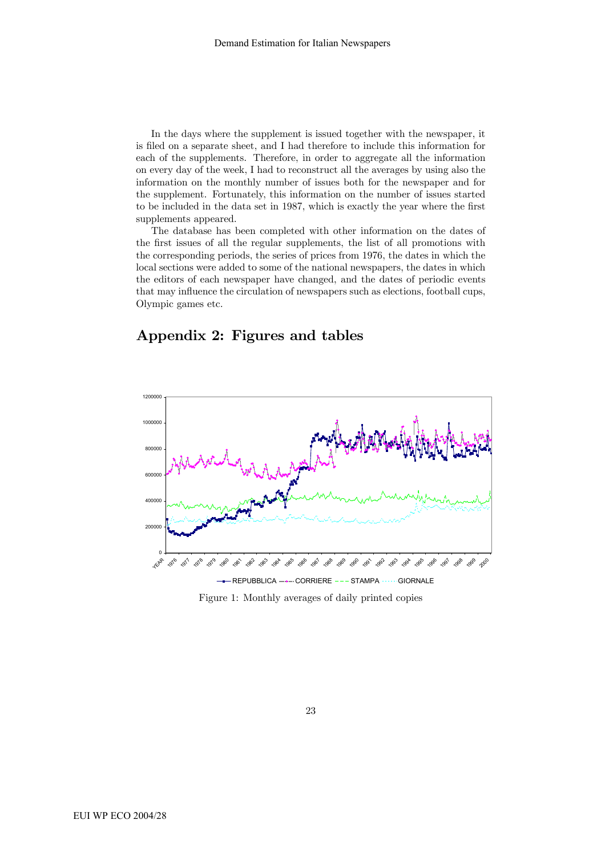In the days where the supplement is issued together with the newspaper, it is filed on a separate sheet, and I had therefore to include this information for each of the supplements. Therefore, in order to aggregate all the information on every day of the week, I had to reconstruct all the averages by using also the information on the monthly number of issues both for the newspaper and for the supplement. Fortunately, this information on the number of issues started to be included in the data set in 1987, which is exactly the year where the first supplements appeared.

The database has been completed with other information on the dates of the first issues of all the regular supplements, the list of all promotions with the corresponding periods, the series of prices from 1976, the dates in which the local sections were added to some of the national newspapers, the dates in which the editors of each newspaper have changed, and the dates of periodic events that may influence the circulation of newspapers such as elections, football cups, Olympic games etc.

### Appendix 2: Figures and tables



Figure 1: Monthly averages of daily printed copies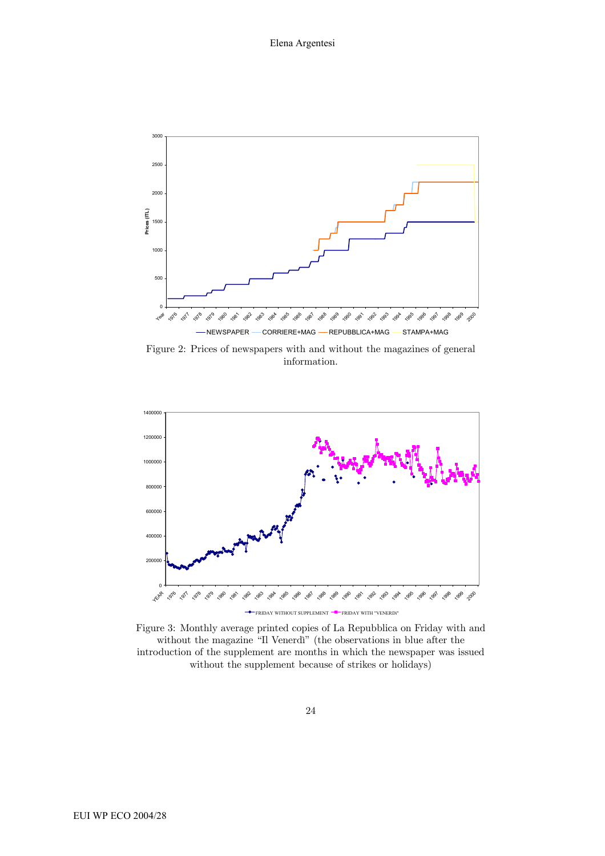

Figure 2: Prices of newspapers with and without the magazines of general information.



Figure 3: Monthly average printed copies of La Repubblica on Friday with and without the magazine "Il Venerdì" (the observations in blue after the introduction of the supplement are months in which the newspaper was issued without the supplement because of strikes or holidays)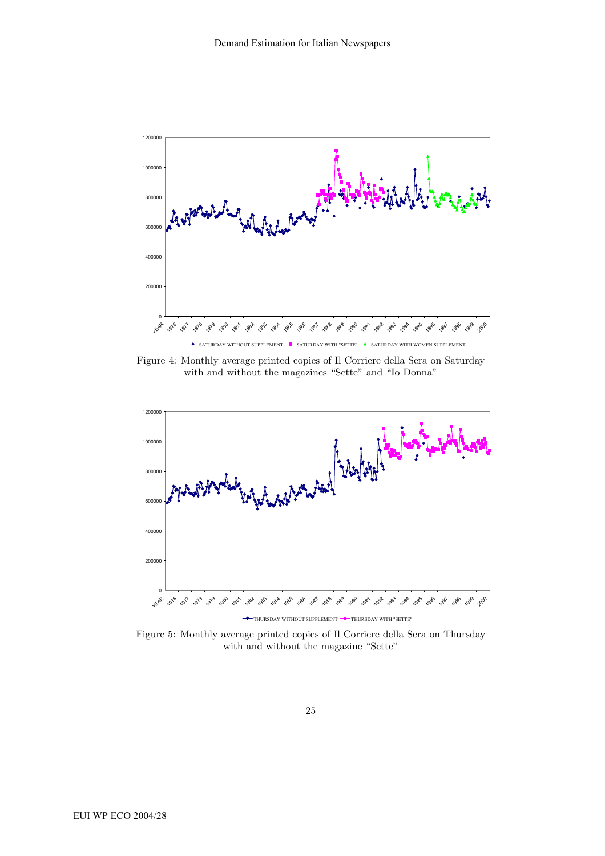

Figure 4: Monthly average printed copies of Il Corriere della Sera on Saturday with and without the magazines "Sette" and "Io Donna"



Figure 5: Monthly average printed copies of Il Corriere della Sera on Thursday with and without the magazine "Sette"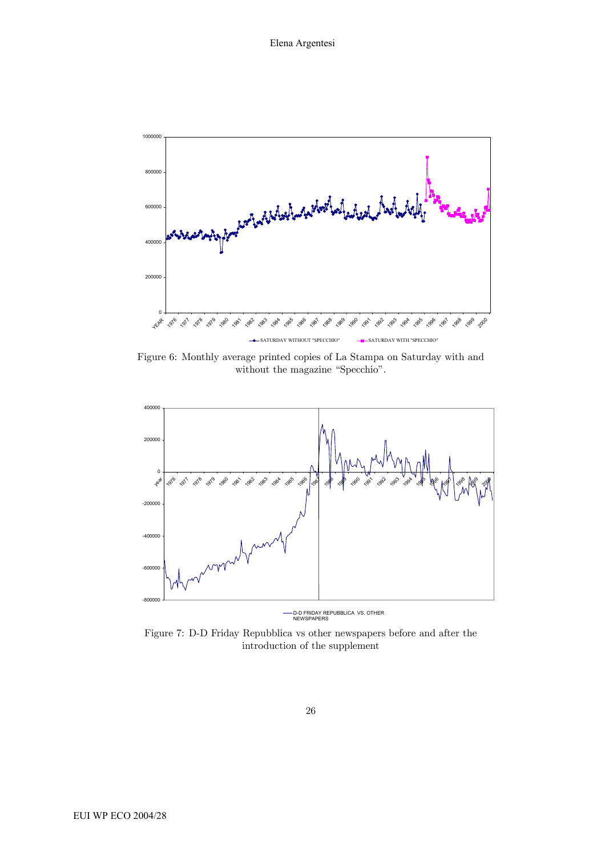

Figure 6: Monthly average printed copies of La Stampa on Saturday with and without the magazine "Specchio".



D-D FRIDAY REPUBBLICA VS. OTHER NEWSPAPERS

Figure 7: D-D Friday Repubblica vs other newspapers before and after the introduction of the supplement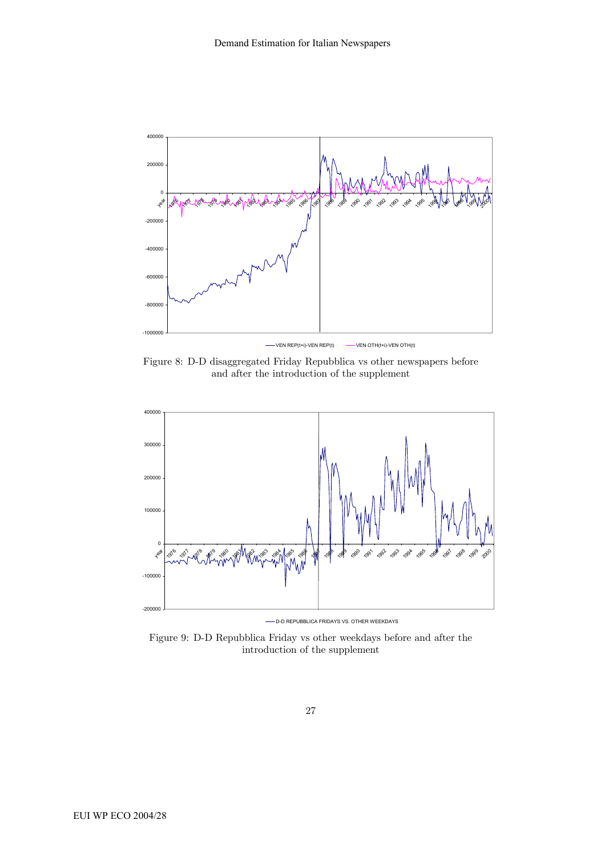

Figure 8: D-D disaggregated Friday Repubblica vs other newspapers before and after the introduction of the supplement



-D-D REPUBBLICA FRIDAYS VS. OTHER WEEKDAYS

Figure 9: D-D Repubblica Friday vs other weekdays before and after the introduction of the supplement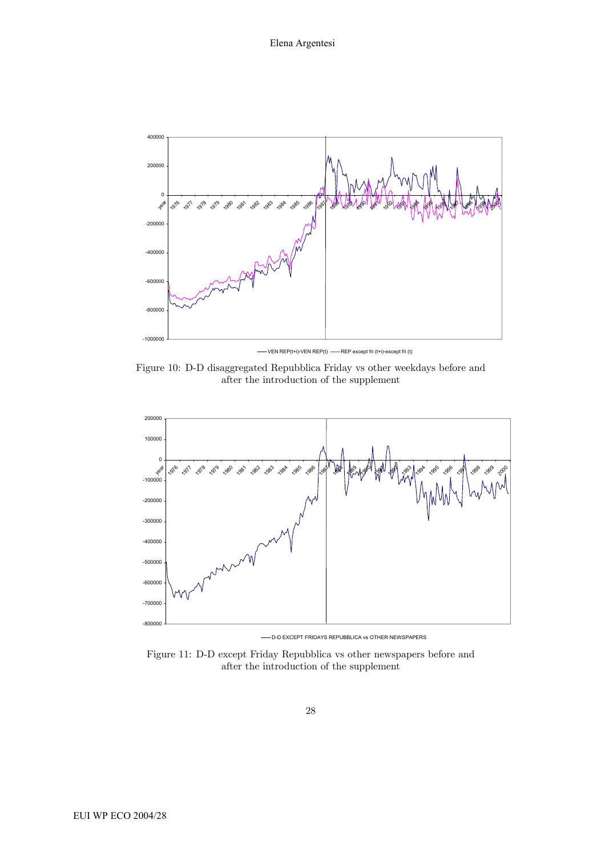

Figure 10: D-D disaggregated Repubblica Friday vs other weekdays before and after the introduction of the supplement



D-D EXCEPT FRIDAYS REPUBBLICA vs OTHER NEWSPAPERS

Figure 11: D-D except Friday Repubblica vs other newspapers before and after the introduction of the supplement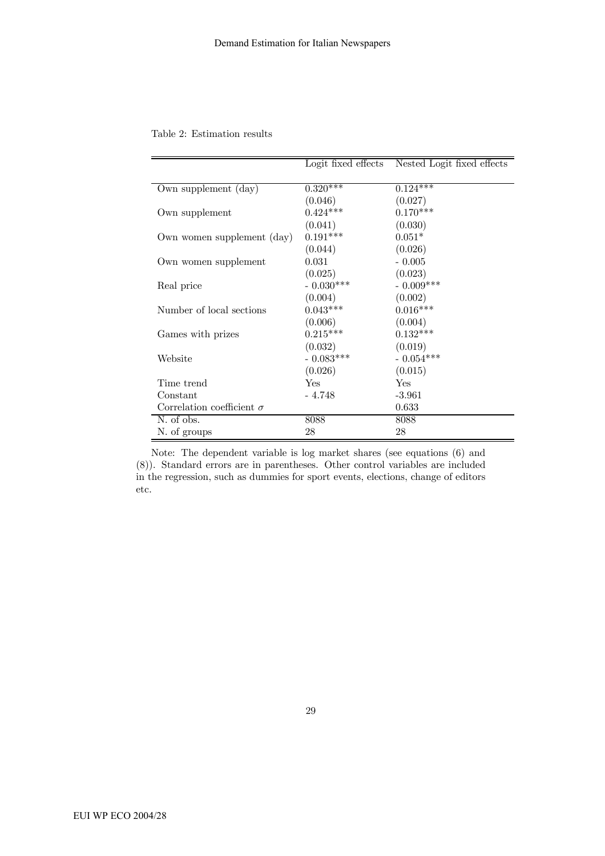|                                  | Logit fixed effects | Nested Logit fixed effects |
|----------------------------------|---------------------|----------------------------|
| Own supplement (day)             | $0.320***$          | $0.124$ ***                |
|                                  | (0.046)             |                            |
|                                  | $0.424***$          | (0.027)<br>$0.170***$      |
| Own supplement                   |                     |                            |
|                                  | (0.041)             | (0.030)                    |
| Own women supplement (day)       | $0.191***$          | $0.051*$                   |
|                                  | (0.044)             | (0.026)                    |
| Own women supplement             | 0.031               | $-0.005$                   |
|                                  | (0.025)             | (0.023)                    |
| Real price                       | $-0.030***$         | $-0.009***$                |
|                                  | (0.004)             | (0.002)                    |
| Number of local sections         | $0.043***$          | $0.016***$                 |
|                                  | (0.006)             | (0.004)                    |
| Games with prizes                | $0.215***$          | $0.132***$                 |
|                                  | (0.032)             | (0.019)                    |
| Website                          | $-0.083***$         | $-0.054***$                |
|                                  | (0.026)             | (0.015)                    |
| Time trend                       | Yes                 | Yes                        |
| Constant                         | - 4.748             | $-3.961$                   |
| Correlation coefficient $\sigma$ |                     | 0.633                      |
| N. of obs.                       | 8088                | 8088                       |
| N. of groups                     | 28                  | 28                         |

Table 2: Estimation results

Note: The dependent variable is log market shares (see equations (6) and (8)). Standard errors are in parentheses. Other control variables are included in the regression, such as dummies for sport events, elections, change of editors etc.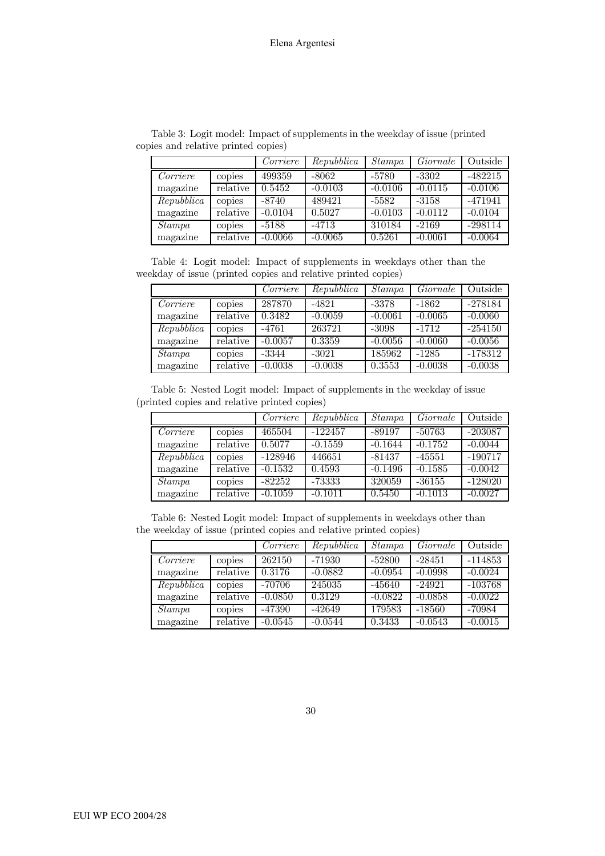|            |          | Corriere  | Repubblica | <i>Stampa</i> | Giornale  | Outside   |
|------------|----------|-----------|------------|---------------|-----------|-----------|
| Corriere   | copies   | 499359    | $-8062$    | $-5780$       | $-3302$   | $-482215$ |
| magazine   | relative | 0.5452    | $-0.0103$  | $-0.0106$     | $-0.0115$ | $-0.0106$ |
| Repubblica | copies   | -8740     | 489421     | $-5582$       | $-3158$   | $-471941$ |
| magazine   | relative | $-0.0104$ | 0.5027     | $-0.0103$     | $-0.0112$ | $-0.0104$ |
| Stampa     | copies   | $-5188$   | $-4713$    | 310184        | $-2169$   | $-298114$ |
| magazine   | relative | $-0.0066$ | $-0.0065$  | 0.5261        | $-0.0061$ | $-0.0064$ |

Table 3: Logit model: Impact of supplements in the weekday of issue (printed copies and relative printed copies)

Table 4: Logit model: Impact of supplements in weekdays other than the weekday of issue (printed copies and relative printed copies)

|            |          | Corriere  | Repubblica | Stampa    | Giornale  | Outside   |
|------------|----------|-----------|------------|-----------|-----------|-----------|
| Corriere   | copies   | 287870    | $-4821$    | $-3378$   | $-1862$   | $-278184$ |
| magazine   | relative | 0.3482    | $-0.0059$  | $-0.0061$ | $-0.0065$ | $-0.0060$ |
| Repubblica | copies   | $-4761$   | 263721     | $-3098$   | $-1712$   | $-254150$ |
| magazine   | relative | $-0.0057$ | 0.3359     | $-0.0056$ | $-0.0060$ | $-0.0056$ |
| Stampa     | copies   | $-3344$   | $-3021$    | 185962    | $-1285$   | $-178312$ |
| magazine   | relative | $-0.0038$ | $-0.0038$  | 0.3553    | $-0.0038$ | $-0.0038$ |

Table 5: Nested Logit model: Impact of supplements in the weekday of issue (printed copies and relative printed copies)

|           |          | Corriere  | Repubblica | Stampa    | Giornale  | Outside   |
|-----------|----------|-----------|------------|-----------|-----------|-----------|
| Corriere  | copies   | 465504    | $-122457$  | $-89197$  | $-50763$  | $-203087$ |
| magazine  | relative | 0.5077    | $-0.1559$  | $-0.1644$ | $-0.1752$ | $-0.0044$ |
| Republica | copies   | $-128946$ | 446651     | $-81437$  | $-45551$  | $-190717$ |
| magazine  | relative | $-0.1532$ | 0.4593     | $-0.1496$ | $-0.1585$ | $-0.0042$ |
| Stampa    | copies   | $-82252$  | -73333     | 320059    | $-36155$  | $-128020$ |
| magazine  | relative | $-0.1059$ | $-0.1011$  | 0.5450    | $-0.1013$ | $-0.0027$ |

Table 6: Nested Logit model: Impact of supplements in weekdays other than the weekday of issue (printed copies and relative printed copies)

|            |          | Corriere  | Repubblica | Stampa    | Giornale  | Outside   |
|------------|----------|-----------|------------|-----------|-----------|-----------|
| Corriere   | copies   | 262150    | $-71930$   | $-52800$  | $-28451$  | $-114853$ |
| magazine   | relative | 0.3176    | $-0.0882$  | $-0.0954$ | $-0.0998$ | $-0.0024$ |
| Repubblica | copies   | -70706    | 245035     | $-45640$  | $-24921$  | $-103768$ |
| magazine   | relative | $-0.0850$ | 0.3129     | $-0.0822$ | $-0.0858$ | $-0.0022$ |
| Stampa     | copies   | -47390    | $-42649$   | 179583    | $-18560$  | -70984    |
| magazine   | relative | $-0.0545$ | $-0.0544$  | 0.3433    | $-0.0543$ | $-0.0015$ |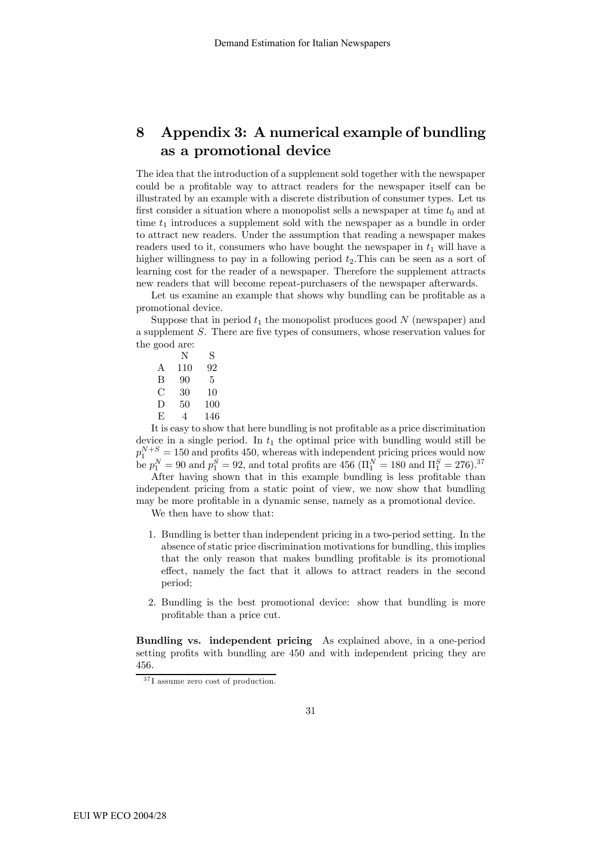## 8 Appendix 3: A numerical example of bundling as a promotional device

The idea that the introduction of a supplement sold together with the newspaper could be a profitable way to attract readers for the newspaper itself can be illustrated by an example with a discrete distribution of consumer types. Let us first consider a situation where a monopolist sells a newspaper at time  $t_0$  and at time  $t_1$  introduces a supplement sold with the newspaper as a bundle in order to attract new readers. Under the assumption that reading a newspaper makes readers used to it, consumers who have bought the newspaper in  $t_1$  will have a higher willingness to pay in a following period  $t_2$ . This can be seen as a sort of learning cost for the reader of a newspaper. Therefore the supplement attracts new readers that will become repeat-purchasers of the newspaper afterwards.

Let us examine an example that shows why bundling can be profitable as a promotional device.

Suppose that in period  $t_1$  the monopolist produces good N (newspaper) and a supplement S. There are five types of consumers, whose reservation values for the good are:

N S A 110 92 B 90 5 C 30 10 D 50 100 E 4 146

It is easy to show that here bundling is not profitable as a price discrimination device in a single period. In  $t_1$  the optimal price with bundling would still be  $p_1^{N+S} = 150$  and profits 450, whereas with independent pricing prices would now be  $p_1^N = 90$  and  $p_1^S = 92$ , and total profits are 456 ( $\Pi_1^N = 180$  and  $\Pi_1^S = 276$ ).<sup>37</sup>

After having shown that in this example bundling is less profitable than independent pricing from a static point of view, we now show that bundling may be more profitable in a dynamic sense, namely as a promotional device.

We then have to show that:

- 1. Bundling is better than independent pricing in a two-period setting. In the absence of static price discrimination motivations for bundling, this implies that the only reason that makes bundling profitable is its promotional effect, namely the fact that it allows to attract readers in the second period;
- 2. Bundling is the best promotional device: show that bundling is more profitable than a price cut.

Bundling vs. independent pricing As explained above, in a one-period setting profits with bundling are 450 and with independent pricing they are 456.

 $37$ <sup>I</sup> assume zero cost of production.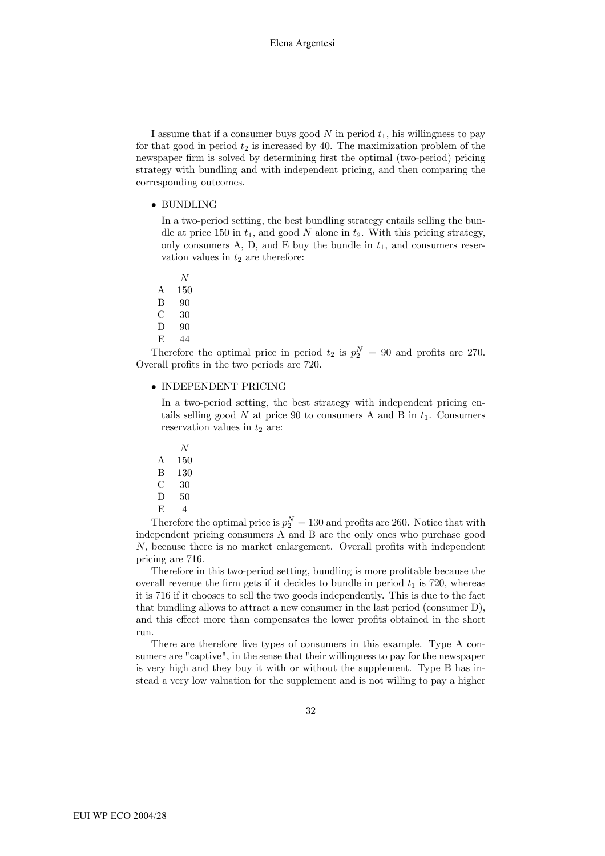I assume that if a consumer buys good  $N$  in period  $t_1$ , his willingness to pay for that good in period  $t_2$  is increased by 40. The maximization problem of the newspaper firm is solved by determining first the optimal (two-period) pricing strategy with bundling and with independent pricing, and then comparing the corresponding outcomes.

• BUNDLING

In a two-period setting, the best bundling strategy entails selling the bundle at price 150 in  $t_1$ , and good N alone in  $t_2$ . With this pricing strategy, only consumers A, D, and E buy the bundle in  $t_1$ , and consumers reservation values in  $t_2$  are therefore:

- N
- A 150
- B 90
- C 30
- D 90
- E 44

Therefore the optimal price in period  $t_2$  is  $p_2^N = 90$  and profits are 270. Overall profits in the two periods are 720.

#### • INDEPENDENT PRICING

In a two-period setting, the best strategy with independent pricing entails selling good  $N$  at price 90 to consumers A and B in  $t_1$ . Consumers reservation values in  $t_2$  are:

- N
- A 150
- B 130
- C 30
- D 50
- $E = 4$

Therefore the optimal price is  $p_2^N = 130$  and profits are 260. Notice that with independent pricing consumers A and B are the only ones who purchase good N, because there is no market enlargement. Overall profits with independent pricing are 716.

Therefore in this two-period setting, bundling is more profitable because the overall revenue the firm gets if it decides to bundle in period  $t_1$  is 720, whereas it is 716 if it chooses to sell the two goods independently. This is due to the fact that bundling allows to attract a new consumer in the last period (consumer D), and this effect more than compensates the lower profits obtained in the short run.

There are therefore five types of consumers in this example. Type A consumers are "captive", in the sense that their willingness to pay for the newspaper is very high and they buy it with or without the supplement. Type B has instead a very low valuation for the supplement and is not willing to pay a higher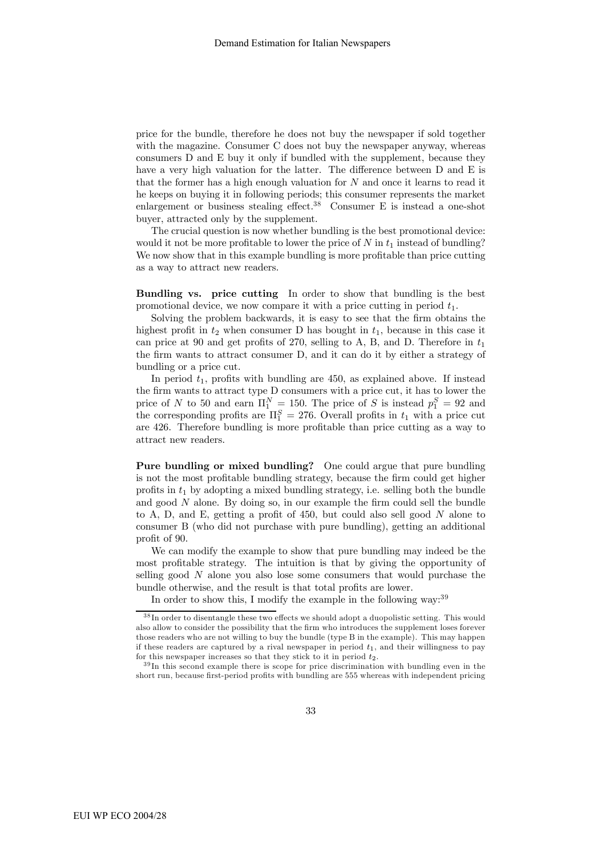price for the bundle, therefore he does not buy the newspaper if sold together with the magazine. Consumer C does not buy the newspaper anyway, whereas consumers D and E buy it only if bundled with the supplement, because they have a very high valuation for the latter. The difference between D and E is that the former has a high enough valuation for  $N$  and once it learns to read it he keeps on buying it in following periods; this consumer represents the market enlargement or business stealing effect.<sup>38</sup> Consumer E is instead a one-shot buyer, attracted only by the supplement.

The crucial question is now whether bundling is the best promotional device: would it not be more profitable to lower the price of N in  $t_1$  instead of bundling? We now show that in this example bundling is more profitable than price cutting as a way to attract new readers.

Bundling vs. price cutting In order to show that bundling is the best promotional device, we now compare it with a price cutting in period  $t_1$ .

Solving the problem backwards, it is easy to see that the firm obtains the highest profit in  $t_2$  when consumer D has bought in  $t_1$ , because in this case it can price at 90 and get profits of 270, selling to A, B, and D. Therefore in  $t_1$ the firm wants to attract consumer D, and it can do it by either a strategy of bundling or a price cut.

In period  $t_1$ , profits with bundling are 450, as explained above. If instead the firm wants to attract type D consumers with a price cut, it has to lower the price of N to 50 and earn  $\Pi_1^N = 150$ . The price of S is instead  $p_1^S = 92$  and the corresponding profits are  $\Pi_1^S = 276$ . Overall profits in  $t_1$  with a price cut are 426. Therefore bundling is more profitable than price cutting as a way to attract new readers.

Pure bundling or mixed bundling? One could argue that pure bundling is not the most profitable bundling strategy, because the firm could get higher profits in  $t_1$  by adopting a mixed bundling strategy, i.e. selling both the bundle and good  $N$  alone. By doing so, in our example the firm could sell the bundle to A, D, and E, getting a profit of 450, but could also sell good N alone to consumer B (who did not purchase with pure bundling), getting an additional profit of 90.

We can modify the example to show that pure bundling may indeed be the most profitable strategy. The intuition is that by giving the opportunity of selling good N alone you also lose some consumers that would purchase the bundle otherwise, and the result is that total profits are lower.

In order to show this, I modify the example in the following way:  $39$ 

<sup>&</sup>lt;sup>38</sup> In order to disentangle these two effects we should adopt a duopolistic setting. This would also allow to consider the possibility that the firm who introduces the supplement loses forever those readers who are not willing to buy the bundle (type B in the example). This may happen if these readers are captured by a rival newspaper in period  $t_1$ , and their willingness to pay for this newspaper increases so that they stick to it in period  $t_2$ .

 $^{39}$ In this second example there is scope for price discrimination with bundling even in the short run, because first-period profits with bundling are 555 whereas with independent pricing